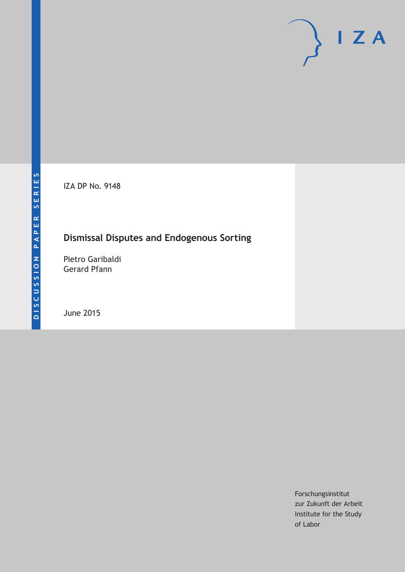IZA DP No. 9148

## **Dismissal Disputes and Endogenous Sorting**

Pietro Garibaldi Gerard Pfann

June 2015

Forschungsinstitut zur Zukunft der Arbeit Institute for the Study of Labor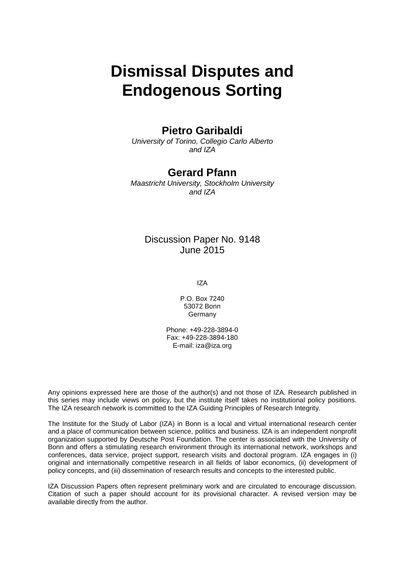# **Dismissal Disputes and Endogenous Sorting**

### **Pietro Garibaldi**

*University of Torino, Collegio Carlo Alberto and IZA*

### **Gerard Pfann**

*Maastricht University, Stockholm University and IZA*

### Discussion Paper No. 9148 June 2015

IZA

P.O. Box 7240 53072 Bonn Germany

Phone: +49-228-3894-0 Fax: +49-228-3894-180 E-mail: iza@iza.org

Any opinions expressed here are those of the author(s) and not those of IZA. Research published in this series may include views on policy, but the institute itself takes no institutional policy positions. The IZA research network is committed to the IZA Guiding Principles of Research Integrity.

The Institute for the Study of Labor (IZA) in Bonn is a local and virtual international research center and a place of communication between science, politics and business. IZA is an independent nonprofit organization supported by Deutsche Post Foundation. The center is associated with the University of Bonn and offers a stimulating research environment through its international network, workshops and conferences, data service, project support, research visits and doctoral program. IZA engages in (i) original and internationally competitive research in all fields of labor economics, (ii) development of policy concepts, and (iii) dissemination of research results and concepts to the interested public.

<span id="page-1-0"></span>IZA Discussion Papers often represent preliminary work and are circulated to encourage discussion. Citation of such a paper should account for its provisional character. A revised version may be available directly from the author.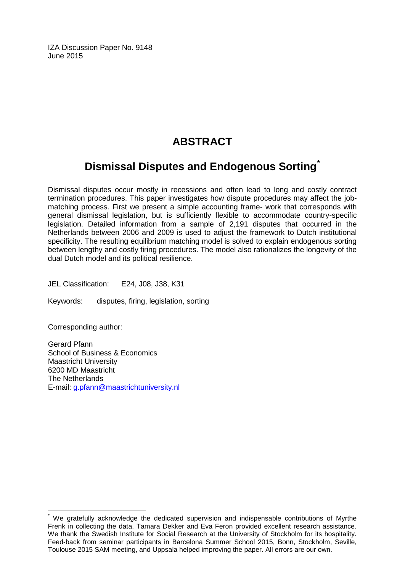IZA Discussion Paper No. 9148 June 2015

## **ABSTRACT**

## **Dismissal Disputes and Endogenous Sorting[\\*](#page-1-0)**

Dismissal disputes occur mostly in recessions and often lead to long and costly contract termination procedures. This paper investigates how dispute procedures may affect the jobmatching process. First we present a simple accounting frame- work that corresponds with general dismissal legislation, but is sufficiently flexible to accommodate country-specific legislation. Detailed information from a sample of 2,191 disputes that occurred in the Netherlands between 2006 and 2009 is used to adjust the framework to Dutch institutional specificity. The resulting equilibrium matching model is solved to explain endogenous sorting between lengthy and costly firing procedures. The model also rationalizes the longevity of the dual Dutch model and its political resilience.

JEL Classification: E24, J08, J38, K31

Keywords: disputes, firing, legislation, sorting

Corresponding author:

Gerard Pfann School of Business & Economics Maastricht University 6200 MD Maastricht The Netherlands E-mail: [g.pfann@maastrichtuniversity.nl](mailto:g.pfann@maastrichtuniversity.nl)

We gratefully acknowledge the dedicated supervision and indispensable contributions of Myrthe Frenk in collecting the data. Tamara Dekker and Eva Feron provided excellent research assistance. We thank the Swedish Institute for Social Research at the University of Stockholm for its hospitality. Feed-back from seminar participants in Barcelona Summer School 2015, Bonn, Stockholm, Seville, Toulouse 2015 SAM meeting, and Uppsala helped improving the paper. All errors are our own.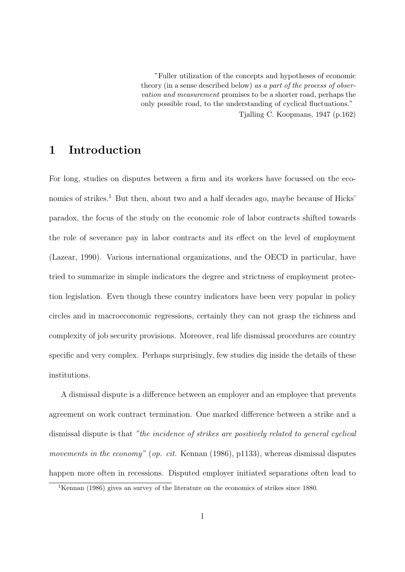"Fuller utilization of the concepts and hypotheses of economic theory (in a sense described below) as a part of the process of observation and measurement promises to be a shorter road, perhaps the only possible road, to the understanding of cyclical fluctuations."

Tjalling C. Koopmans, 1947 (p.162)

## 1 Introduction

For long, studies on disputes between a firm and its workers have focussed on the economics of strikes.<sup>1</sup> But then, about two and a half decades ago, maybe because of Hicks' paradox, the focus of the study on the economic role of labor contracts shifted towards the role of severance pay in labor contracts and its effect on the level of employment (Lazear, 1990). Various international organizations, and the OECD in particular, have tried to summarize in simple indicators the degree and strictness of employment protection legislation. Even though these country indicators have been very popular in policy circles and in macroeconomic regressions, certainly they can not grasp the richness and complexity of job security provisions. Moreover, real life dismissal procedures are country specific and very complex. Perhaps surprisingly, few studies dig inside the details of these institutions.

A dismissal dispute is a difference between an employer and an employee that prevents agreement on work contract termination. One marked difference between a strike and a dismissal dispute is that "the incidence of strikes are positively related to general cyclical movements in the economy" (op. cit. Kennan (1986), p1133), whereas dismissal disputes happen more often in recessions. Disputed employer initiated separations often lead to

<sup>&</sup>lt;sup>1</sup>Kennan (1986) gives an survey of the literature on the economics of strikes since 1880.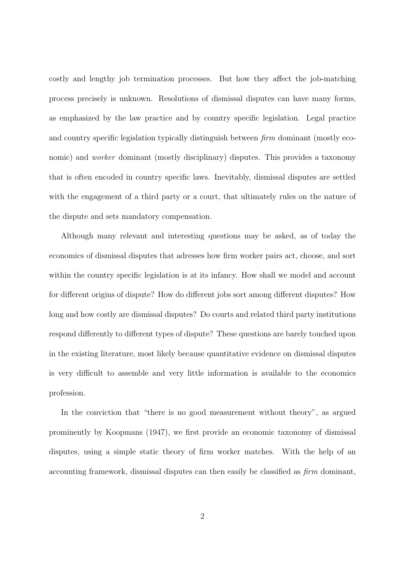costly and lengthy job termination processes. But how they affect the job-matching process precisely is unknown. Resolutions of dismissal disputes can have many forms, as emphasized by the law practice and by country specific legislation. Legal practice and country specific legislation typically distinguish between firm dominant (mostly economic) and *worker* dominant (mostly disciplinary) disputes. This provides a taxonomy that is often encoded in country specific laws. Inevitably, dismissal disputes are settled with the engagement of a third party or a court, that ultimately rules on the nature of the dispute and sets mandatory compensation.

Although many relevant and interesting questions may be asked, as of today the economics of dismissal disputes that adresses how firm worker pairs act, choose, and sort within the country specific legislation is at its infancy. How shall we model and account for different origins of dispute? How do different jobs sort among different disputes? How long and how costly are dismissal disputes? Do courts and related third party institutions respond differently to different types of dispute? These questions are barely touched upon in the existing literature, most likely because quantitative evidence on dismissal disputes is very difficult to assemble and very little information is available to the economics profession.

In the conviction that "there is no good measurement without theory", as argued prominently by Koopmans (1947), we first provide an economic taxonomy of dismissal disputes, using a simple static theory of firm worker matches. With the help of an accounting framework, dismissal disputes can then easily be classified as firm dominant,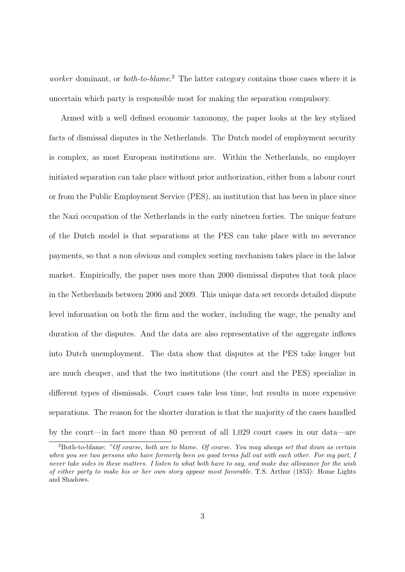*worker* dominant, or *both-to-blame*.<sup>2</sup> The latter category contains those cases where it is uncertain which party is responsible most for making the separation compulsory.

Armed with a well defined economic taxonomy, the paper looks at the key stylized facts of dismissal disputes in the Netherlands. The Dutch model of employment security is complex, as most European institutions are. Within the Netherlands, no employer initiated separation can take place without prior authorization, either from a labour court or from the Public Employment Service (PES), an institution that has been in place since the Nazi occupation of the Netherlands in the early nineteen forties. The unique feature of the Dutch model is that separations at the PES can take place with no severance payments, so that a non obvious and complex sorting mechanism takes place in the labor market. Empirically, the paper uses more than 2000 dismissal disputes that took place in the Netherlands between 2006 and 2009. This unique data set records detailed dispute level information on both the firm and the worker, including the wage, the penalty and duration of the disputes. And the data are also representative of the aggregate inflows into Dutch unemployment. The data show that disputes at the PES take longer but are much cheaper, and that the two institutions (the court and the PES) specialize in different types of dismissals. Court cases take less time, but results in more expensive separations. The reason for the shorter duration is that the majority of the cases handled by the court—in fact more than 80 percent of all 1,029 court cases in our data—are

 ${}^{2}$ Both-to-blame: "Of course, both are to blame. Of course. You may always set that down as certain when you see two persons who have formerly been on good terms fall out with each other. For my part, I never take sides in these matters. I listen to what both have to say, and make due allowance for the wish of either party to make his or her own story appear most favorable. T.S. Arthur (1853): Home Lights and Shadows.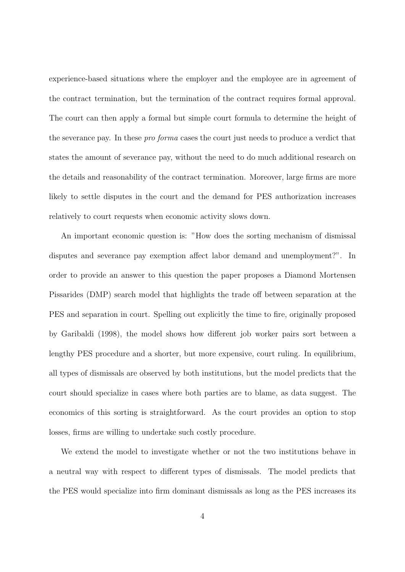experience-based situations where the employer and the employee are in agreement of the contract termination, but the termination of the contract requires formal approval. The court can then apply a formal but simple court formula to determine the height of the severance pay. In these pro forma cases the court just needs to produce a verdict that states the amount of severance pay, without the need to do much additional research on the details and reasonability of the contract termination. Moreover, large firms are more likely to settle disputes in the court and the demand for PES authorization increases relatively to court requests when economic activity slows down.

An important economic question is: "How does the sorting mechanism of dismissal disputes and severance pay exemption affect labor demand and unemployment?". In order to provide an answer to this question the paper proposes a Diamond Mortensen Pissarides (DMP) search model that highlights the trade off between separation at the PES and separation in court. Spelling out explicitly the time to fire, originally proposed by Garibaldi (1998), the model shows how different job worker pairs sort between a lengthy PES procedure and a shorter, but more expensive, court ruling. In equilibrium, all types of dismissals are observed by both institutions, but the model predicts that the court should specialize in cases where both parties are to blame, as data suggest. The economics of this sorting is straightforward. As the court provides an option to stop losses, firms are willing to undertake such costly procedure.

We extend the model to investigate whether or not the two institutions behave in a neutral way with respect to different types of dismissals. The model predicts that the PES would specialize into firm dominant dismissals as long as the PES increases its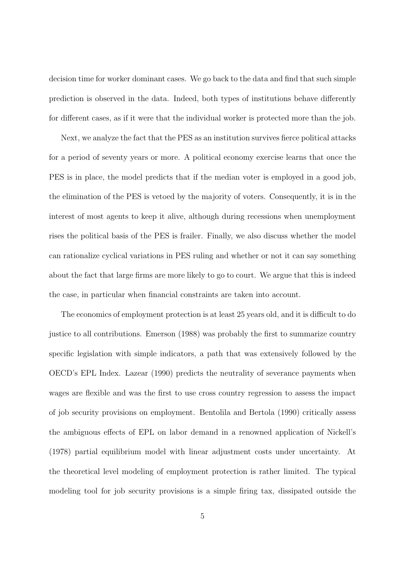decision time for worker dominant cases. We go back to the data and find that such simple prediction is observed in the data. Indeed, both types of institutions behave differently for different cases, as if it were that the individual worker is protected more than the job.

Next, we analyze the fact that the PES as an institution survives fierce political attacks for a period of seventy years or more. A political economy exercise learns that once the PES is in place, the model predicts that if the median voter is employed in a good job, the elimination of the PES is vetoed by the majority of voters. Consequently, it is in the interest of most agents to keep it alive, although during recessions when unemployment rises the political basis of the PES is frailer. Finally, we also discuss whether the model can rationalize cyclical variations in PES ruling and whether or not it can say something about the fact that large firms are more likely to go to court. We argue that this is indeed the case, in particular when financial constraints are taken into account.

The economics of employment protection is at least 25 years old, and it is difficult to do justice to all contributions. Emerson (1988) was probably the first to summarize country specific legislation with simple indicators, a path that was extensively followed by the OECD's EPL Index. Lazear (1990) predicts the neutrality of severance payments when wages are flexible and was the first to use cross country regression to assess the impact of job security provisions on employment. Bentolila and Bertola (1990) critically assess the ambiguous effects of EPL on labor demand in a renowned application of Nickell's (1978) partial equilibrium model with linear adjustment costs under uncertainty. At the theoretical level modeling of employment protection is rather limited. The typical modeling tool for job security provisions is a simple firing tax, dissipated outside the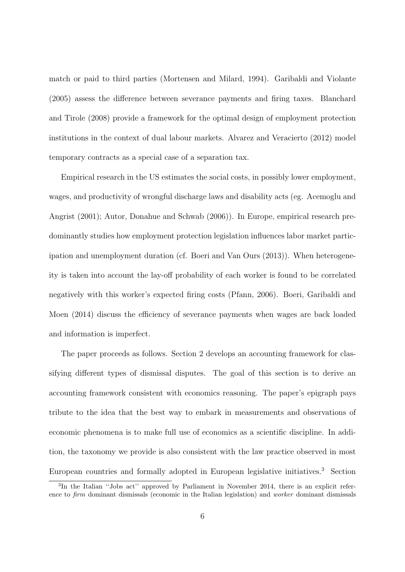match or paid to third parties (Mortensen and Milard, 1994). Garibaldi and Violante (2005) assess the difference between severance payments and firing taxes. Blanchard and Tirole (2008) provide a framework for the optimal design of employment protection institutions in the context of dual labour markets. Alvarez and Veracierto (2012) model temporary contracts as a special case of a separation tax.

Empirical research in the US estimates the social costs, in possibly lower employment, wages, and productivity of wrongful discharge laws and disability acts (eg. Acemoglu and Angrist (2001); Autor, Donahue and Schwab (2006)). In Europe, empirical research predominantly studies how employment protection legislation influences labor market participation and unemployment duration (cf. Boeri and Van Ours (2013)). When heterogeneity is taken into account the lay-off probability of each worker is found to be correlated negatively with this worker's expected firing costs (Pfann, 2006). Boeri, Garibaldi and Moen (2014) discuss the efficiency of severance payments when wages are back loaded and information is imperfect.

The paper proceeds as follows. Section 2 develops an accounting framework for classifying different types of dismissal disputes. The goal of this section is to derive an accounting framework consistent with economics reasoning. The paper's epigraph pays tribute to the idea that the best way to embark in measurements and observations of economic phenomena is to make full use of economics as a scientific discipline. In addition, the taxonomy we provide is also consistent with the law practice observed in most European countries and formally adopted in European legislative initiatives.<sup>3</sup> Section

<sup>&</sup>lt;sup>3</sup>In the Italian "Jobs act" approved by Parliament in November 2014, there is an explicit reference to *firm* dominant dismissals (economic in the Italian legislation) and *worker* dominant dismissals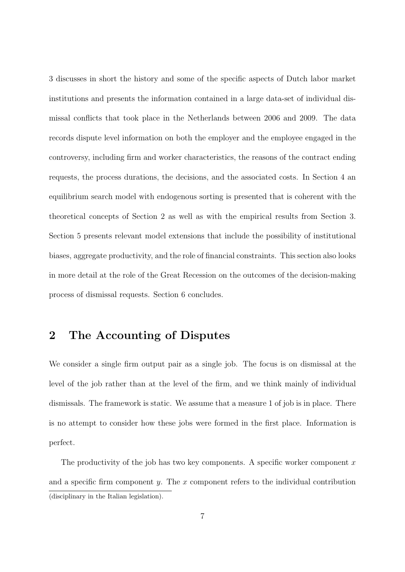3 discusses in short the history and some of the specific aspects of Dutch labor market institutions and presents the information contained in a large data-set of individual dismissal conflicts that took place in the Netherlands between 2006 and 2009. The data records dispute level information on both the employer and the employee engaged in the controversy, including firm and worker characteristics, the reasons of the contract ending requests, the process durations, the decisions, and the associated costs. In Section 4 an equilibrium search model with endogenous sorting is presented that is coherent with the theoretical concepts of Section 2 as well as with the empirical results from Section 3. Section 5 presents relevant model extensions that include the possibility of institutional biases, aggregate productivity, and the role of financial constraints. This section also looks in more detail at the role of the Great Recession on the outcomes of the decision-making process of dismissal requests. Section 6 concludes.

## 2 The Accounting of Disputes

We consider a single firm output pair as a single job. The focus is on dismissal at the level of the job rather than at the level of the firm, and we think mainly of individual dismissals. The framework is static. We assume that a measure 1 of job is in place. There is no attempt to consider how these jobs were formed in the first place. Information is perfect.

The productivity of the job has two key components. A specific worker component  $x$ and a specific firm component  $y$ . The x component refers to the individual contribution (disciplinary in the Italian legislation).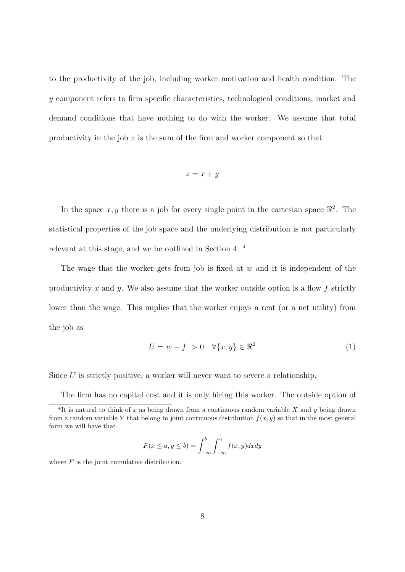to the productivity of the job, including worker motivation and health condition. The y component refers to firm specific characteristics, technological conditions, market and demand conditions that have nothing to do with the worker. We assume that total productivity in the job  $z$  is the sum of the firm and worker component so that

$$
z = x + y
$$

In the space  $x, y$  there is a job for every single point in the cartesian space  $\Re^2$ . The statistical properties of the job space and the underlying distribution is not particularly relevant at this stage, and we be outlined in Section 4. <sup>4</sup>

The wage that the worker gets from job is fixed at  $w$  and it is independent of the productivity x and y. We also assume that the worker outside option is a flow  $f$  strictly lower than the wage. This implies that the worker enjoys a rent (or a net utility) from the job as

$$
U = w - f > 0 \quad \forall \{x, y\} \in \mathbb{R}^2 \tag{1}
$$

Since  $U$  is strictly positive, a worker will never want to severe a relationship.

The firm has no capital cost and it is only hiring this worker. The outside option of

$$
F(x \le a, y \le b) = \int_{-\infty}^{b} \int_{-\infty}^{a} f(x, y) dx dy
$$

where  $F$  is the joint cumulative distribution.

<sup>&</sup>lt;sup>4</sup>It is natural to think of x as being drawn from a continuous random variable X and y being drawn from a random variable Y that belong to joint continuous distribution  $f(x, y)$  so that in the most general form we will have that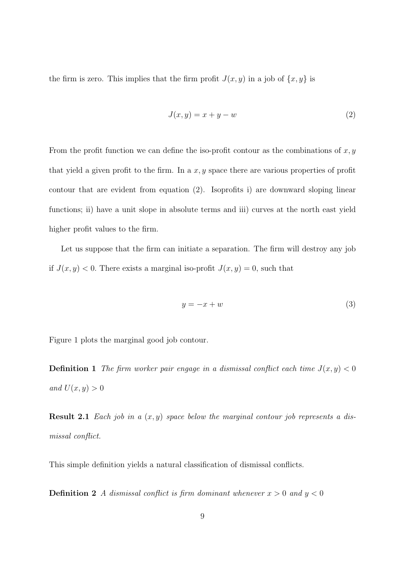the firm is zero. This implies that the firm profit  $J(x, y)$  in a job of  $\{x, y\}$  is

$$
J(x, y) = x + y - w \tag{2}
$$

From the profit function we can define the iso-profit contour as the combinations of  $x, y$ that yield a given profit to the firm. In a  $x, y$  space there are various properties of profit contour that are evident from equation (2). Isoprofits i) are downward sloping linear functions; ii) have a unit slope in absolute terms and iii) curves at the north east yield higher profit values to the firm.

Let us suppose that the firm can initiate a separation. The firm will destroy any job if  $J(x, y) < 0$ . There exists a marginal iso-profit  $J(x, y) = 0$ , such that

$$
y = -x + w \tag{3}
$$

Figure 1 plots the marginal good job contour.

**Definition 1** The firm worker pair engage in a dismissal conflict each time  $J(x, y) < 0$ and  $U(x, y) > 0$ 

**Result 2.1** Each job in a  $(x, y)$  space below the marginal contour job represents a dismissal conflict.

This simple definition yields a natural classification of dismissal conflicts.

**Definition 2** A dismissal conflict is firm dominant whenever  $x > 0$  and  $y < 0$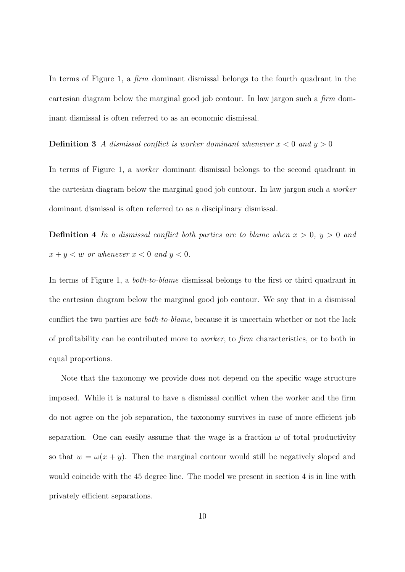In terms of Figure 1, a *firm* dominant dismissal belongs to the fourth quadrant in the cartesian diagram below the marginal good job contour. In law jargon such a firm dominant dismissal is often referred to as an economic dismissal.

**Definition 3** A dismissal conflict is worker dominant whenever  $x < 0$  and  $y > 0$ 

In terms of Figure 1, a worker dominant dismissal belongs to the second quadrant in the cartesian diagram below the marginal good job contour. In law jargon such a worker dominant dismissal is often referred to as a disciplinary dismissal.

**Definition 4** In a dismissal conflict both parties are to blame when  $x > 0$ ,  $y > 0$  and  $x + y < w$  or whenever  $x < 0$  and  $y < 0$ .

In terms of Figure 1, a both-to-blame dismissal belongs to the first or third quadrant in the cartesian diagram below the marginal good job contour. We say that in a dismissal conflict the two parties are both-to-blame, because it is uncertain whether or not the lack of profitability can be contributed more to worker, to firm characteristics, or to both in equal proportions.

Note that the taxonomy we provide does not depend on the specific wage structure imposed. While it is natural to have a dismissal conflict when the worker and the firm do not agree on the job separation, the taxonomy survives in case of more efficient job separation. One can easily assume that the wage is a fraction  $\omega$  of total productivity so that  $w = \omega(x + y)$ . Then the marginal contour would still be negatively sloped and would coincide with the 45 degree line. The model we present in section 4 is in line with privately efficient separations.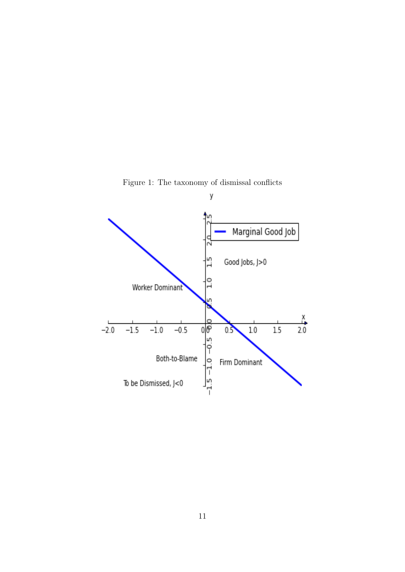

Figure 1: The taxonomy of dismissal conflicts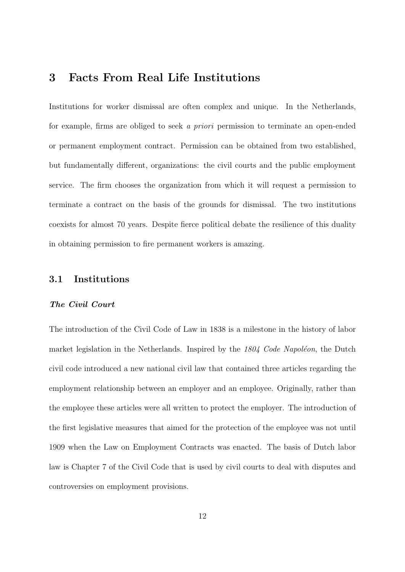## 3 Facts From Real Life Institutions

Institutions for worker dismissal are often complex and unique. In the Netherlands, for example, firms are obliged to seek a priori permission to terminate an open-ended or permanent employment contract. Permission can be obtained from two established, but fundamentally different, organizations: the civil courts and the public employment service. The firm chooses the organization from which it will request a permission to terminate a contract on the basis of the grounds for dismissal. The two institutions coexists for almost 70 years. Despite fierce political debate the resilience of this duality in obtaining permission to fire permanent workers is amazing.

### 3.1 Institutions

#### The Civil Court

The introduction of the Civil Code of Law in 1838 is a milestone in the history of labor market legislation in the Netherlands. Inspired by the  $1804$  Code Napoléon, the Dutch civil code introduced a new national civil law that contained three articles regarding the employment relationship between an employer and an employee. Originally, rather than the employee these articles were all written to protect the employer. The introduction of the first legislative measures that aimed for the protection of the employee was not until 1909 when the Law on Employment Contracts was enacted. The basis of Dutch labor law is Chapter 7 of the Civil Code that is used by civil courts to deal with disputes and controversies on employment provisions.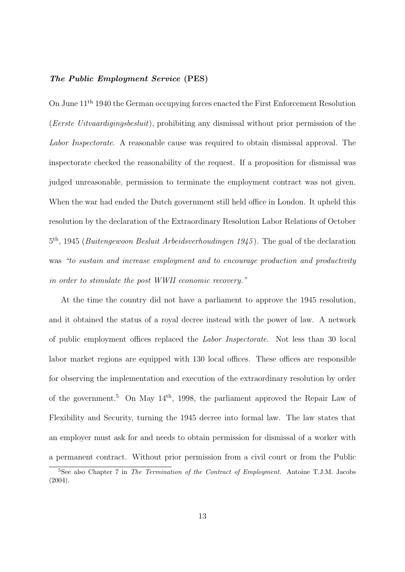### The Public Employment Service (PES)

On June 11th 1940 the German occupying forces enacted the First Enforcement Resolution (Eerste Uitvaardigingsbesluit), prohibiting any dismissal without prior permission of the Labor Inspectorate. A reasonable cause was required to obtain dismissal approval. The inspectorate checked the reasonability of the request. If a proposition for dismissal was judged unreasonable, permission to terminate the employment contract was not given. When the war had ended the Dutch government still held office in London. It upheld this resolution by the declaration of the Extraordinary Resolution Labor Relations of October <sup>5th</sup>, 1945 (*Buitengewoon Besluit Arbeidsverhoudingen 1945*). The goal of the declaration was "to sustain and increase employment and to encourage production and productivity in order to stimulate the post WWII economic recovery."

At the time the country did not have a parliament to approve the 1945 resolution, and it obtained the status of a royal decree instead with the power of law. A network of public employment offices replaced the Labor Inspectorate. Not less than 30 local labor market regions are equipped with 130 local offices. These offices are responsible for observing the implementation and execution of the extraordinary resolution by order of the government.<sup>5</sup> On May  $14<sup>th</sup>$ , 1998, the parliament approved the Repair Law of Flexibility and Security, turning the 1945 decree into formal law. The law states that an employer must ask for and needs to obtain permission for dismissal of a worker with a permanent contract. Without prior permission from a civil court or from the Public

<sup>&</sup>lt;sup>5</sup>See also Chapter 7 in The Termination of the Contract of Employment. Antoine T.J.M. Jacobs (2004).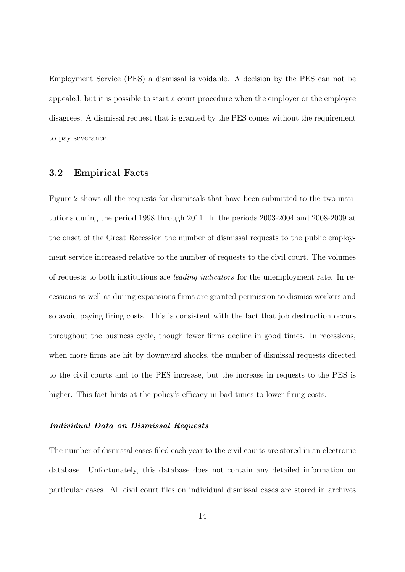Employment Service (PES) a dismissal is voidable. A decision by the PES can not be appealed, but it is possible to start a court procedure when the employer or the employee disagrees. A dismissal request that is granted by the PES comes without the requirement to pay severance.

### 3.2 Empirical Facts

Figure 2 shows all the requests for dismissals that have been submitted to the two institutions during the period 1998 through 2011. In the periods 2003-2004 and 2008-2009 at the onset of the Great Recession the number of dismissal requests to the public employment service increased relative to the number of requests to the civil court. The volumes of requests to both institutions are leading indicators for the unemployment rate. In recessions as well as during expansions firms are granted permission to dismiss workers and so avoid paying firing costs. This is consistent with the fact that job destruction occurs throughout the business cycle, though fewer firms decline in good times. In recessions, when more firms are hit by downward shocks, the number of dismissal requests directed to the civil courts and to the PES increase, but the increase in requests to the PES is higher. This fact hints at the policy's efficacy in bad times to lower firing costs.

#### Individual Data on Dismissal Requests

The number of dismissal cases filed each year to the civil courts are stored in an electronic database. Unfortunately, this database does not contain any detailed information on particular cases. All civil court files on individual dismissal cases are stored in archives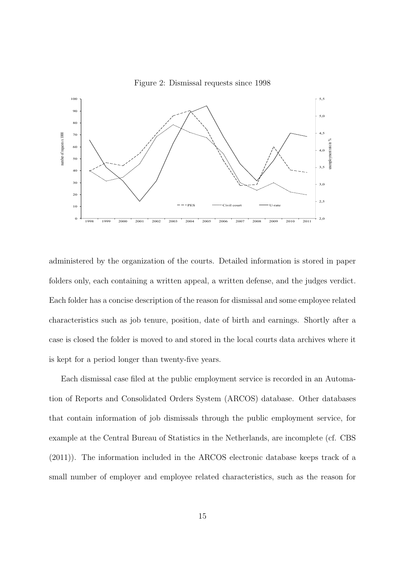



administered by the organization of the courts. Detailed information is stored in paper folders only, each containing a written appeal, a written defense, and the judges verdict. Each folder has a concise description of the reason for dismissal and some employee related characteristics such as job tenure, position, date of birth and earnings. Shortly after a case is closed the folder is moved to and stored in the local courts data archives where it is kept for a period longer than twenty-five years.

Each dismissal case filed at the public employment service is recorded in an Automation of Reports and Consolidated Orders System (ARCOS) database. Other databases that contain information of job dismissals through the public employment service, for example at the Central Bureau of Statistics in the Netherlands, are incomplete (cf. CBS (2011)). The information included in the ARCOS electronic database keeps track of a small number of employer and employee related characteristics, such as the reason for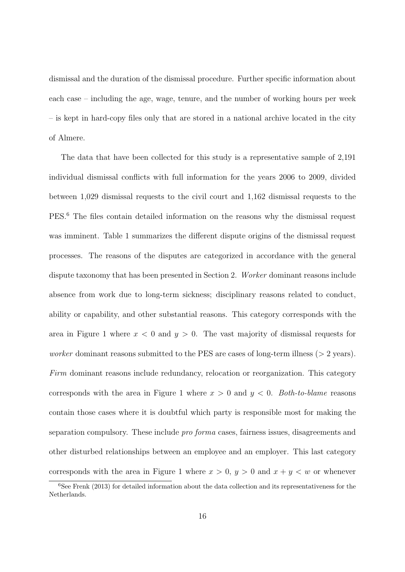dismissal and the duration of the dismissal procedure. Further specific information about each case – including the age, wage, tenure, and the number of working hours per week – is kept in hard-copy files only that are stored in a national archive located in the city of Almere.

The data that have been collected for this study is a representative sample of 2,191 individual dismissal conflicts with full information for the years 2006 to 2009, divided between 1,029 dismissal requests to the civil court and 1,162 dismissal requests to the PES.<sup>6</sup> The files contain detailed information on the reasons why the dismissal request was imminent. Table 1 summarizes the different dispute origins of the dismissal request processes. The reasons of the disputes are categorized in accordance with the general dispute taxonomy that has been presented in Section 2. Worker dominant reasons include absence from work due to long-term sickness; disciplinary reasons related to conduct, ability or capability, and other substantial reasons. This category corresponds with the area in Figure 1 where  $x < 0$  and  $y > 0$ . The vast majority of dismissal requests for *worker* dominant reasons submitted to the PES are cases of long-term illness ( $>$  2 years). Firm dominant reasons include redundancy, relocation or reorganization. This category corresponds with the area in Figure 1 where  $x > 0$  and  $y < 0$ . Both-to-blame reasons contain those cases where it is doubtful which party is responsible most for making the separation compulsory. These include pro forma cases, fairness issues, disagreements and other disturbed relationships between an employee and an employer. This last category corresponds with the area in Figure 1 where  $x > 0$ ,  $y > 0$  and  $x + y < w$  or whenever

 $6$ See Frenk (2013) for detailed information about the data collection and its representativeness for the Netherlands.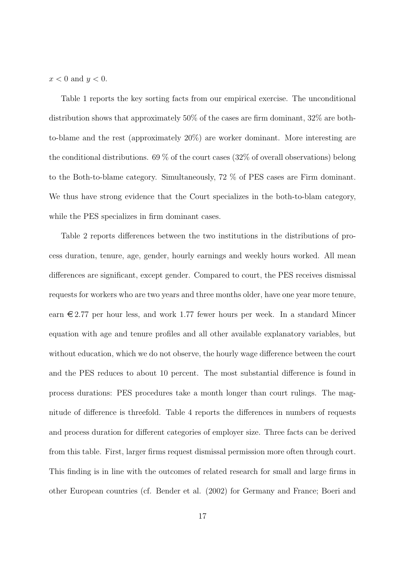$x < 0$  and  $y < 0$ .

Table 1 reports the key sorting facts from our empirical exercise. The unconditional distribution shows that approximately 50% of the cases are firm dominant, 32% are bothto-blame and the rest (approximately 20%) are worker dominant. More interesting are the conditional distributions. 69 % of the court cases (32% of overall observations) belong to the Both-to-blame category. Simultaneously, 72 % of PES cases are Firm dominant. We thus have strong evidence that the Court specializes in the both-to-blam category, while the PES specializes in firm dominant cases.

Table 2 reports differences between the two institutions in the distributions of process duration, tenure, age, gender, hourly earnings and weekly hours worked. All mean differences are significant, except gender. Compared to court, the PES receives dismissal requests for workers who are two years and three months older, have one year more tenure, earn  $\epsilon$  2.77 per hour less, and work 1.77 fewer hours per week. In a standard Mincer equation with age and tenure profiles and all other available explanatory variables, but without education, which we do not observe, the hourly wage difference between the court and the PES reduces to about 10 percent. The most substantial difference is found in process durations: PES procedures take a month longer than court rulings. The magnitude of difference is threefold. Table 4 reports the differences in numbers of requests and process duration for different categories of employer size. Three facts can be derived from this table. First, larger firms request dismissal permission more often through court. This finding is in line with the outcomes of related research for small and large firms in other European countries (cf. Bender et al. (2002) for Germany and France; Boeri and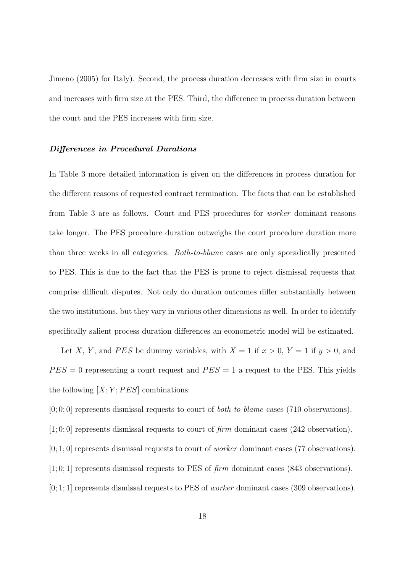Jimeno (2005) for Italy). Second, the process duration decreases with firm size in courts and increases with firm size at the PES. Third, the difference in process duration between the court and the PES increases with firm size.

#### Differences in Procedural Durations

In Table 3 more detailed information is given on the differences in process duration for the different reasons of requested contract termination. The facts that can be established from Table 3 are as follows. Court and PES procedures for worker dominant reasons take longer. The PES procedure duration outweighs the court procedure duration more than three weeks in all categories. Both-to-blame cases are only sporadically presented to PES. This is due to the fact that the PES is prone to reject dismissal requests that comprise difficult disputes. Not only do duration outcomes differ substantially between the two institutions, but they vary in various other dimensions as well. In order to identify specifically salient process duration differences an econometric model will be estimated.

Let X, Y, and PES be dummy variables, with  $X = 1$  if  $x > 0$ ,  $Y = 1$  if  $y > 0$ , and  $PES = 0$  representing a court request and  $PES = 1$  a request to the PES. This yields the following  $[X; Y; PES]$  combinations:

 $[0, 0, 0]$  represents dismissal requests to court of *both-to-blame* cases (710 observations).

 $[1;0;0]$  represents dismissal requests to court of firm dominant cases (242 observation).

[0; 1; 0] represents dismissal requests to court of worker dominant cases (77 observations).

 $[1;0;1]$  represents dismissal requests to PES of firm dominant cases (843 observations).

 $[0; 1; 1]$  represents dismissal requests to PES of *worker* dominant cases (309 observations).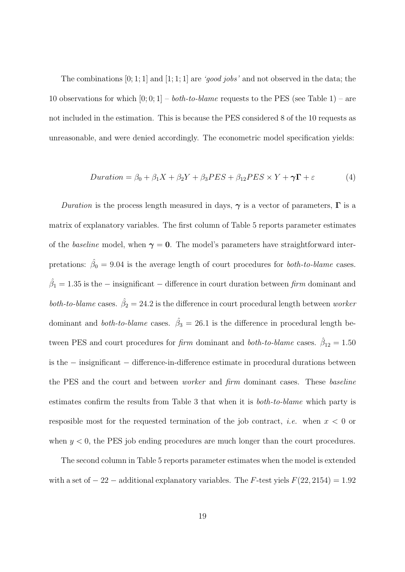The combinations  $[0; 1; 1]$  and  $[1; 1; 1]$  are '*qood jobs'* and not observed in the data; the 10 observations for which  $[0, 0, 1]$  – *both-to-blame* requests to the PES (see Table 1) – are not included in the estimation. This is because the PES considered 8 of the 10 requests as unreasonable, and were denied accordingly. The econometric model specification yields:

$$
Duration = \beta_0 + \beta_1 X + \beta_2 Y + \beta_3 PES + \beta_{12} PES \times Y + \gamma \Gamma + \varepsilon
$$
\n(4)

Duration is the process length measured in days,  $\gamma$  is a vector of parameters,  $\Gamma$  is a matrix of explanatory variables. The first column of Table 5 reports parameter estimates of the baseline model, when  $\gamma = 0$ . The model's parameters have straightforward interpretations:  $\hat{\beta}_0 = 9.04$  is the average length of court procedures for *both-to-blame* cases.  $\hat{\beta}_1 = 1.35$  is the – insignificant – difference in court duration between  $\text{firm}$  dominant and both-to-blame cases.  $\hat{\beta}_2 = 24.2$  is the difference in court procedural length between worker dominant and *both-to-blame* cases.  $\hat{\beta}_3 = 26.1$  is the difference in procedural length between PES and court procedures for *firm* dominant and *both-to-blame* cases.  $\hat{\beta}_{12} = 1.50$ is the − insignificant − difference-in-difference estimate in procedural durations between the PES and the court and between worker and firm dominant cases. These baseline estimates confirm the results from Table 3 that when it is both-to-blame which party is resposible most for the requested termination of the job contract, *i.e.* when  $x < 0$  or when  $y < 0$ , the PES job ending procedures are much longer than the court procedures.

The second column in Table 5 reports parameter estimates when the model is extended with a set of  $-22$  – additional explanatory variables. The F-test yiels  $F(22, 2154) = 1.92$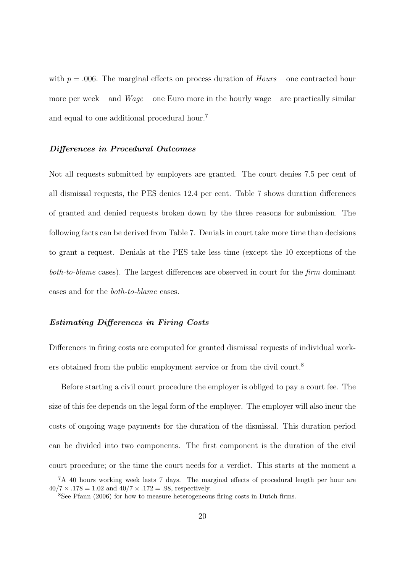with  $p = .006$ . The marginal effects on process duration of  $Hours$  – one contracted hour more per week – and  $Wage$  – one Euro more in the hourly wage – are practically similar and equal to one additional procedural hour.<sup>7</sup>

#### Differences in Procedural Outcomes

Not all requests submitted by employers are granted. The court denies 7.5 per cent of all dismissal requests, the PES denies 12.4 per cent. Table 7 shows duration differences of granted and denied requests broken down by the three reasons for submission. The following facts can be derived from Table 7. Denials in court take more time than decisions to grant a request. Denials at the PES take less time (except the 10 exceptions of the both-to-blame cases). The largest differences are observed in court for the firm dominant cases and for the both-to-blame cases.

#### Estimating Differences in Firing Costs

Differences in firing costs are computed for granted dismissal requests of individual workers obtained from the public employment service or from the civil court.<sup>8</sup>

Before starting a civil court procedure the employer is obliged to pay a court fee. The size of this fee depends on the legal form of the employer. The employer will also incur the costs of ongoing wage payments for the duration of the dismissal. This duration period can be divided into two components. The first component is the duration of the civil court procedure; or the time the court needs for a verdict. This starts at the moment a

<sup>7</sup>A 40 hours working week lasts 7 days. The marginal effects of procedural length per hour are  $40/7 \times .178 = 1.02$  and  $40/7 \times .172 = .98$ , respectively.

<sup>8</sup>See Pfann (2006) for how to measure heterogeneous firing costs in Dutch firms.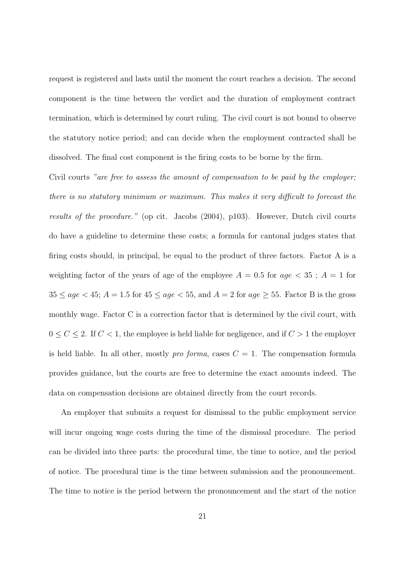request is registered and lasts until the moment the court reaches a decision. The second component is the time between the verdict and the duration of employment contract termination, which is determined by court ruling. The civil court is not bound to observe the statutory notice period; and can decide when the employment contracted shall be dissolved. The final cost component is the firing costs to be borne by the firm.

Civil courts "are free to assess the amount of compensation to be paid by the employer; there is no statutory minimum or maximum. This makes it very difficult to forecast the results of the procedure." (op cit. Jacobs (2004), p103). However, Dutch civil courts do have a guideline to determine these costs; a formula for cantonal judges states that firing costs should, in principal, be equal to the product of three factors. Factor A is a weighting factor of the years of age of the employee  $A = 0.5$  for  $age < 35$ ;  $A = 1$  for  $35 \le age < 45$ ;  $A = 1.5$  for  $45 \le age < 55$ , and  $A = 2$  for  $age \ge 55$ . Factor B is the gross monthly wage. Factor C is a correction factor that is determined by the civil court, with  $0 \le C \le 2$ . If  $C < 1$ , the employee is held liable for negligence, and if  $C > 1$  the employer is held liable. In all other, mostly *pro forma*, cases  $C = 1$ . The compensation formula provides guidance, but the courts are free to determine the exact amounts indeed. The data on compensation decisions are obtained directly from the court records.

An employer that submits a request for dismissal to the public employment service will incur ongoing wage costs during the time of the dismissal procedure. The period can be divided into three parts: the procedural time, the time to notice, and the period of notice. The procedural time is the time between submission and the pronouncement. The time to notice is the period between the pronouncement and the start of the notice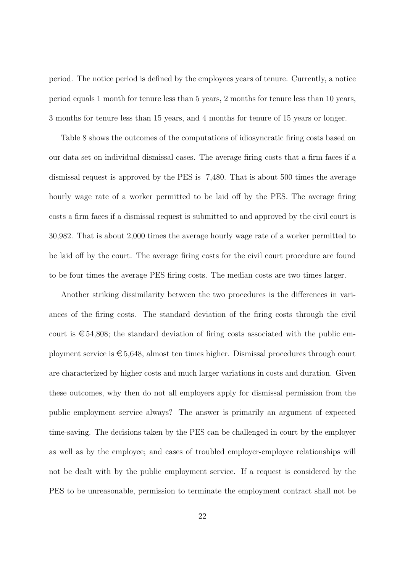period. The notice period is defined by the employees years of tenure. Currently, a notice period equals 1 month for tenure less than 5 years, 2 months for tenure less than 10 years, 3 months for tenure less than 15 years, and 4 months for tenure of 15 years or longer.

Table 8 shows the outcomes of the computations of idiosyncratic firing costs based on our data set on individual dismissal cases. The average firing costs that a firm faces if a dismissal request is approved by the PES is 7,480. That is about 500 times the average hourly wage rate of a worker permitted to be laid off by the PES. The average firing costs a firm faces if a dismissal request is submitted to and approved by the civil court is 30,982. That is about 2,000 times the average hourly wage rate of a worker permitted to be laid off by the court. The average firing costs for the civil court procedure are found to be four times the average PES firing costs. The median costs are two times larger.

Another striking dissimilarity between the two procedures is the differences in variances of the firing costs. The standard deviation of the firing costs through the civil court is  $\epsilon$  54,808; the standard deviation of firing costs associated with the public employment service is  $\epsilon$  5,648, almost ten times higher. Dismissal procedures through court are characterized by higher costs and much larger variations in costs and duration. Given these outcomes, why then do not all employers apply for dismissal permission from the public employment service always? The answer is primarily an argument of expected time-saving. The decisions taken by the PES can be challenged in court by the employer as well as by the employee; and cases of troubled employer-employee relationships will not be dealt with by the public employment service. If a request is considered by the PES to be unreasonable, permission to terminate the employment contract shall not be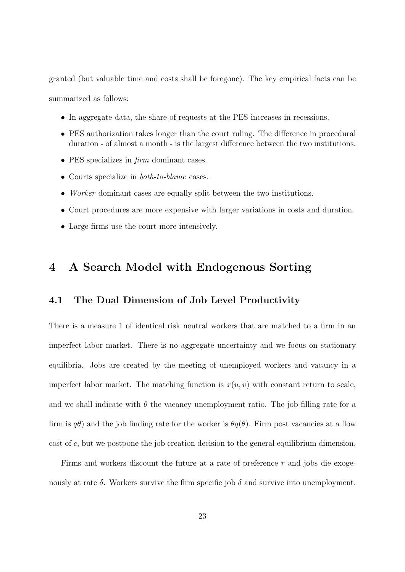granted (but valuable time and costs shall be foregone). The key empirical facts can be summarized as follows:

- In aggregate data, the share of requests at the PES increases in recessions.
- PES authorization takes longer than the court ruling. The difference in procedural duration - of almost a month - is the largest difference between the two institutions.
- PES specializes in *firm* dominant cases.
- Courts specialize in *both-to-blame* cases.
- Worker dominant cases are equally split between the two institutions.
- Court procedures are more expensive with larger variations in costs and duration.
- Large firms use the court more intensively.

## 4 A Search Model with Endogenous Sorting

### 4.1 The Dual Dimension of Job Level Productivity

There is a measure 1 of identical risk neutral workers that are matched to a firm in an imperfect labor market. There is no aggregate uncertainty and we focus on stationary equilibria. Jobs are created by the meeting of unemployed workers and vacancy in a imperfect labor market. The matching function is  $x(u, v)$  with constant return to scale, and we shall indicate with  $\theta$  the vacancy unemployment ratio. The job filling rate for a firm is  $q\theta$ ) and the job finding rate for the worker is  $\theta q(\theta)$ . Firm post vacancies at a flow cost of c, but we postpone the job creation decision to the general equilibrium dimension.

Firms and workers discount the future at a rate of preference r and jobs die exogenously at rate  $\delta$ . Workers survive the firm specific job  $\delta$  and survive into unemployment.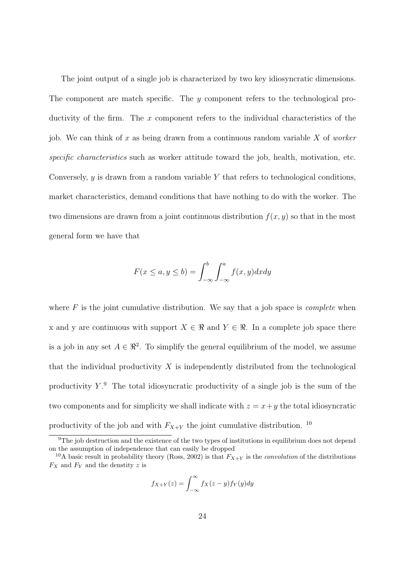The joint output of a single job is characterized by two key idiosyncratic dimensions. The component are match specific. The y component refers to the technological productivity of the firm. The x component refers to the individual characteristics of the job. We can think of x as being drawn from a continuous random variable  $X$  of worker specific characteristics such as worker attitude toward the job, health, motivation, etc. Conversely,  $y$  is drawn from a random variable Y that refers to technological conditions, market characteristics, demand conditions that have nothing to do with the worker. The two dimensions are drawn from a joint continuous distribution  $f(x, y)$  so that in the most general form we have that

$$
F(x \le a, y \le b) = \int_{-\infty}^{b} \int_{-\infty}^{a} f(x, y) dx dy
$$

where  $F$  is the joint cumulative distribution. We say that a job space is *complete* when x and y are continuous with support  $X \in \mathbb{R}$  and  $Y \in \mathbb{R}$ . In a complete job space there is a job in any set  $A \in \mathbb{R}^2$ . To simplify the general equilibrium of the model, we assume that the individual productivity  $X$  is independently distributed from the technological productivity  $Y$ . The total idiosyncratic productivity of a single job is the sum of the two components and for simplicity we shall indicate with  $z = x + y$  the total idiosyncratic productivity of the job and with  $F_{X+Y}$  the joint cumulative distribution. <sup>10</sup>

$$
f_{X+Y}(z) = \int_{-\infty}^{\infty} f_X(z-y) f_Y(y) dy
$$

<sup>&</sup>lt;sup>9</sup>The job destruction and the existence of the two types of institutions in equilibrium does not depend on the assumption of independence that can easily be dropped

<sup>&</sup>lt;sup>10</sup>A basic result in probability theory (Ross, 2002) is that  $F_{X+Y}$  is the *convolution* of the distributions  $F_X$  and  $F_Y$  and the denstity z is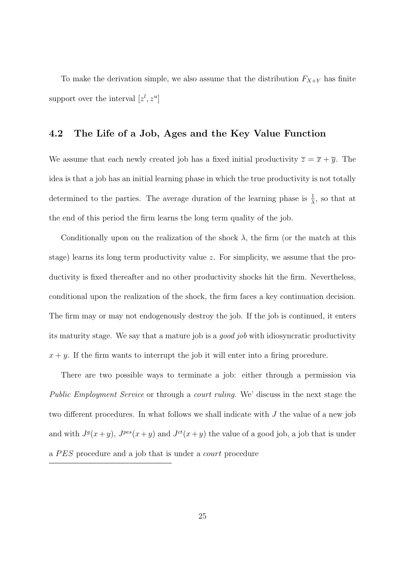To make the derivation simple, we also assume that the distribution  $F_{X+Y}$  has finite support over the interval  $[z^l, z^u]$ 

### 4.2 The Life of a Job, Ages and the Key Value Function

We assume that each newly created job has a fixed initial productivity  $\overline{z} = \overline{x} + \overline{y}$ . The idea is that a job has an initial learning phase in which the true productivity is not totally determined to the parties. The average duration of the learning phase is  $\frac{1}{\lambda}$ , so that at the end of this period the firm learns the long term quality of the job.

Conditionally upon on the realization of the shock  $\lambda$ , the firm (or the match at this stage) learns its long term productivity value  $z$ . For simplicity, we assume that the productivity is fixed thereafter and no other productivity shocks hit the firm. Nevertheless, conditional upon the realization of the shock, the firm faces a key continuation decision. The firm may or may not endogenously destroy the job. If the job is continued, it enters its maturity stage. We say that a mature job is a good job with idiosyncratic productivity  $x + y$ . If the firm wants to interrupt the job it will enter into a firing procedure.

There are two possible ways to terminate a job: either through a permission via Public Employment Service or through a court ruling. We' discuss in the next stage the two different procedures. In what follows we shall indicate with J the value of a new job and with  $J^g(x+y)$ ,  $J^{pes}(x+y)$  and  $J^{ct}(x+y)$  the value of a good job, a job that is under a PES procedure and a job that is under a *court* procedure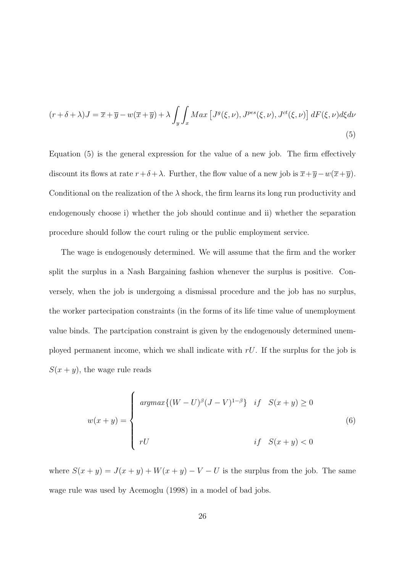$$
(r+\delta+\lambda)J = \overline{x}+\overline{y}-w(\overline{x}+\overline{y})+\lambda \int_{y}\int_{x} Max\left[J^{g}(\xi,\nu),J^{pes}(\xi,\nu),J^{ct}(\xi,\nu)\right]dF(\xi,\nu)d\xi d\nu
$$
\n(5)

Equation (5) is the general expression for the value of a new job. The firm effectively discount its flows at rate  $r+\delta+\lambda$ . Further, the flow value of a new job is  $\overline{x}+\overline{y}-w(\overline{x}+\overline{y})$ . Conditional on the realization of the  $\lambda$  shock, the firm learns its long run productivity and endogenously choose i) whether the job should continue and ii) whether the separation procedure should follow the court ruling or the public employment service.

The wage is endogenously determined. We will assume that the firm and the worker split the surplus in a Nash Bargaining fashion whenever the surplus is positive. Conversely, when the job is undergoing a dismissal procedure and the job has no surplus, the worker partecipation constraints (in the forms of its life time value of unemployment value binds. The partcipation constraint is given by the endogenously determined unemployed permanent income, which we shall indicate with  $rU$ . If the surplus for the job is  $S(x + y)$ , the wage rule reads

$$
w(x+y) = \begin{cases} argmax\{(W-U)^{\beta}(J-V)^{1-\beta}\} & \text{if} \quad S(x+y) \ge 0 \\ & \\ rU & \text{if} \quad S(x+y) < 0 \end{cases}
$$
 (6)

where  $S(x + y) = J(x + y) + W(x + y) - V - U$  is the surplus from the job. The same wage rule was used by Acemoglu (1998) in a model of bad jobs.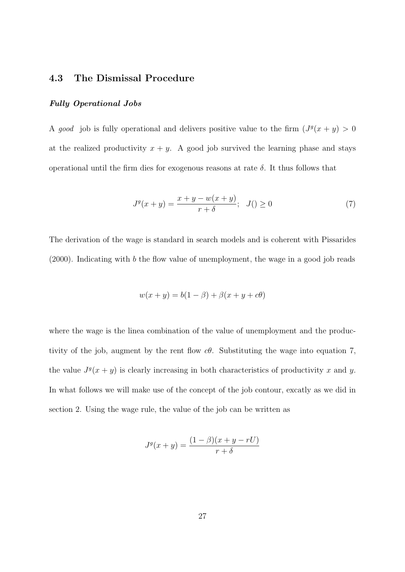### 4.3 The Dismissal Procedure

#### Fully Operational Jobs

A good job is fully operational and delivers positive value to the firm  $(J<sup>g</sup>(x + y) > 0$ at the realized productivity  $x + y$ . A good job survived the learning phase and stays operational until the firm dies for exogenous reasons at rate  $\delta$ . It thus follows that

$$
Jg(x+y) = \frac{x+y-w(x+y)}{r+\delta}; \quad J() \ge 0
$$
\n
$$
(7)
$$

The derivation of the wage is standard in search models and is coherent with Pissarides (2000). Indicating with b the flow value of unemployment, the wage in a good job reads

$$
w(x + y) = b(1 - \beta) + \beta(x + y + c\theta)
$$

where the wage is the linea combination of the value of unemployment and the productivity of the job, augment by the rent flow  $c\theta$ . Substituting the wage into equation 7, the value  $J^g(x+y)$  is clearly increasing in both characteristics of productivity x and y. In what follows we will make use of the concept of the job contour, excatly as we did in section 2. Using the wage rule, the value of the job can be written as

$$
J^g(x+y) = \frac{(1-\beta)(x+y-rU)}{r+\delta}
$$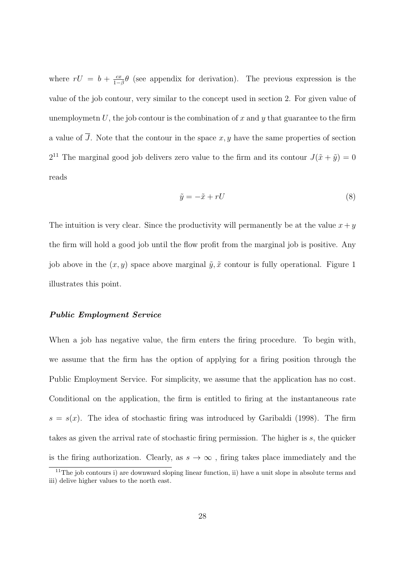where  $rU = b + \frac{cx}{1-c}$  $\frac{cx}{1-\beta}\theta$  (see appendix for derivation). The previous expression is the value of the job contour, very similar to the concept used in section 2. For given value of unemploymetn U, the job contour is the combination of x and y that guarantee to the firm a value of J. Note that the contour in the space  $x, y$  have the same properties of section  $2^{11}$  The marginal good job delivers zero value to the firm and its contour  $J(\tilde{x} + \tilde{y}) = 0$ reads

$$
\tilde{y} = -\tilde{x} + rU\tag{8}
$$

The intuition is very clear. Since the productivity will permanently be at the value  $x + y$ the firm will hold a good job until the flow profit from the marginal job is positive. Any job above in the  $(x, y)$  space above marginal  $\tilde{y}, \tilde{x}$  contour is fully operational. Figure 1 illustrates this point.

#### Public Employment Service

When a job has negative value, the firm enters the firing procedure. To begin with, we assume that the firm has the option of applying for a firing position through the Public Employment Service. For simplicity, we assume that the application has no cost. Conditional on the application, the firm is entitled to firing at the instantaneous rate  $s = s(x)$ . The idea of stochastic firing was introduced by Garibaldi (1998). The firm takes as given the arrival rate of stochastic firing permission. The higher is s, the quicker is the firing authorization. Clearly, as  $s \to \infty$ , firing takes place immediately and the

<sup>&</sup>lt;sup>11</sup>The job contours i) are downward sloping linear function, ii) have a unit slope in absolute terms and iii) delive higher values to the north east.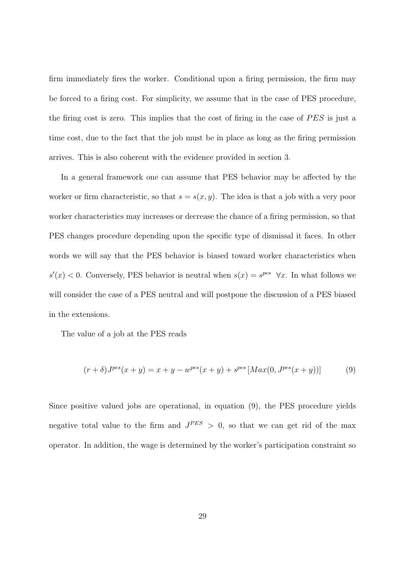firm immediately fires the worker. Conditional upon a firing permission, the firm may be forced to a firing cost. For simplicity, we assume that in the case of PES procedure, the firing cost is zero. This implies that the cost of firing in the case of  $PES$  is just a time cost, due to the fact that the job must be in place as long as the firing permission arrives. This is also coherent with the evidence provided in section 3.

In a general framework one can assume that PES behavior may be affected by the worker or firm characteristic, so that  $s = s(x, y)$ . The idea is that a job with a very poor worker characteristics may increases or decrease the chance of a firing permission, so that PES changes procedure depending upon the specific type of dismissal it faces. In other words we will say that the PES behavior is biased toward worker characteristics when  $s'(x) < 0$ . Conversely, PES behavior is neutral when  $s(x) = s^{pes} \quad \forall x$ . In what follows we will consider the case of a PES neutral and will postpone the discussion of a PES biased in the extensions.

The value of a job at the PES reads

$$
(r+\delta)J^{pes}(x+y) = x+y-w^{pes}(x+y) + s^{pes}[Max(0, J^{pes}(x+y))]
$$
(9)

Since positive valued jobs are operational, in equation (9), the PES procedure yields negative total value to the firm and  $J^{PES} > 0$ , so that we can get rid of the max operator. In addition, the wage is determined by the worker's participation constraint so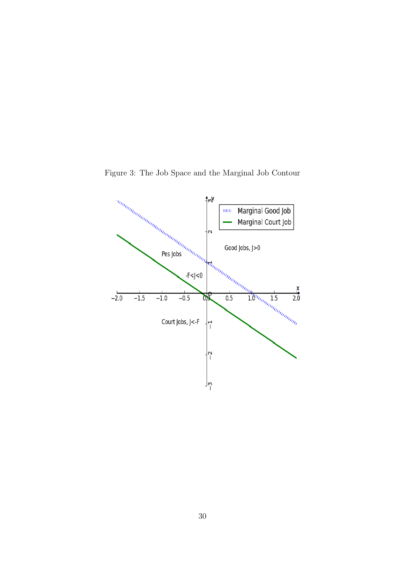

Figure 3: The Job Space and the Marginal Job Contour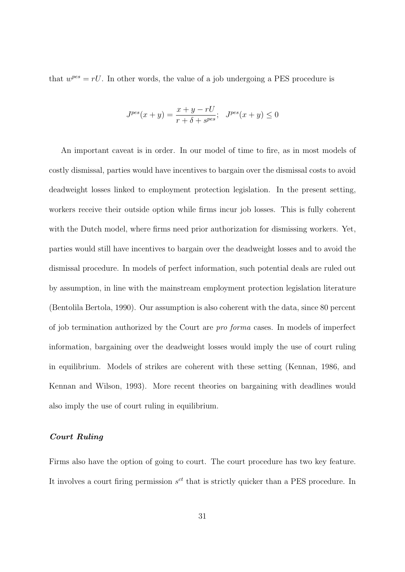that  $w^{pes} = rU$ . In other words, the value of a job undergoing a PES procedure is

$$
J^{pes}(x+y) = \frac{x+y-rU}{r+\delta+s^{pes}}; \quad J^{pes}(x+y) \le 0
$$

An important caveat is in order. In our model of time to fire, as in most models of costly dismissal, parties would have incentives to bargain over the dismissal costs to avoid deadweight losses linked to employment protection legislation. In the present setting, workers receive their outside option while firms incur job losses. This is fully coherent with the Dutch model, where firms need prior authorization for dismissing workers. Yet, parties would still have incentives to bargain over the deadweight losses and to avoid the dismissal procedure. In models of perfect information, such potential deals are ruled out by assumption, in line with the mainstream employment protection legislation literature (Bentolila Bertola, 1990). Our assumption is also coherent with the data, since 80 percent of job termination authorized by the Court are pro forma cases. In models of imperfect information, bargaining over the deadweight losses would imply the use of court ruling in equilibrium. Models of strikes are coherent with these setting (Kennan, 1986, and Kennan and Wilson, 1993). More recent theories on bargaining with deadlines would also imply the use of court ruling in equilibrium.

#### Court Ruling

Firms also have the option of going to court. The court procedure has two key feature. It involves a court firing permission  $s<sup>ct</sup>$  that is strictly quicker than a PES procedure. In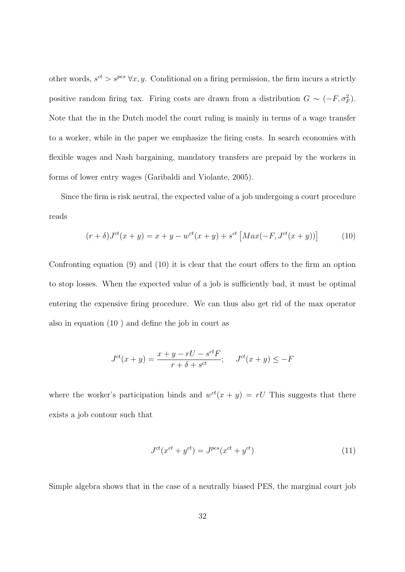other words,  $s^{ct} > s^{pes} \,\forall x, y$ . Conditional on a firing permission, the firm incurs a strictly positive random firing tax. Firing costs are drawn from a distribution  $G \sim (-F, \sigma_F^2)$ . Note that the in the Dutch model the court ruling is mainly in terms of a wage transfer to a worker, while in the paper we emphasize the firing costs. In search economies with flexible wages and Nash bargaining, mandatory transfers are prepaid by the workers in forms of lower entry wages (Garibaldi and Violante, 2005).

Since the firm is risk neutral, the expected value of a job undergoing a court procedure reads

$$
(r+\delta)J^{ct}(x+y) = x+y - w^{ct}(x+y) + s^{ct} [Max(-F, J^{ct}(x+y))]
$$
(10)

Confronting equation (9) and (10) it is clear that the court offers to the firm an option to stop losses. When the expected value of a job is sufficiently bad, it must be optimal entering the expensive firing procedure. We can thus also get rid of the max operator also in equation (10 ) and define the job in court as

$$
J^{ct}(x+y) = \frac{x+y-rU - s^{ct}F}{r+\delta + s^{ct}}; \quad J^{ct}(x+y) \le -F
$$

where the worker's participation binds and  $w^{ct}(x + y) = rU$  This suggests that there exists a job contour such that

$$
J^{ct}(x^{ct} + y^{ct}) = J^{pes}(x^{ct} + y^{ct})
$$
\n
$$
(11)
$$

Simple algebra shows that in the case of a neutrally biased PES, the marginal court job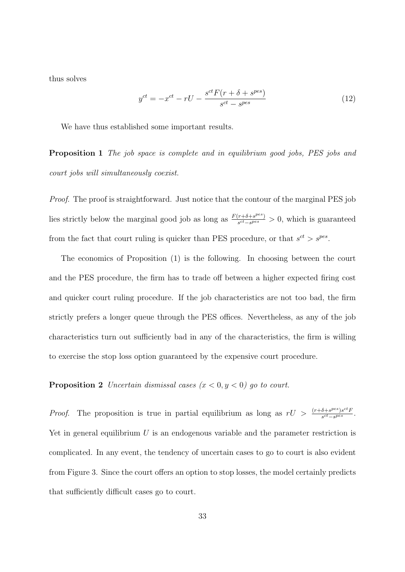thus solves

$$
y^{ct} = -x^{ct} - rU - \frac{s^{ct}F(r+\delta+s^{pes})}{s^{ct}-s^{pes}}
$$
\n
$$
(12)
$$

We have thus established some important results.

Proposition 1 The job space is complete and in equilibrium good jobs, PES jobs and court jobs will simultaneously coexist.

Proof. The proof is straightforward. Just notice that the contour of the marginal PES job lies strictly below the marginal good job as long as  $\frac{F(r+\delta+s^{pes})}{sct-s^{pes}}$  $\frac{(r+\delta+s^{\rho\cos})}{s^{ct}-s^{\rho\cos}} > 0$ , which is guaranteed from the fact that court ruling is quicker than PES procedure, or that  $s^{ct} > s^{pes}$ .

The economics of Proposition (1) is the following. In choosing between the court and the PES procedure, the firm has to trade off between a higher expected firing cost and quicker court ruling procedure. If the job characteristics are not too bad, the firm strictly prefers a longer queue through the PES offices. Nevertheless, as any of the job characteristics turn out sufficiently bad in any of the characteristics, the firm is willing to exercise the stop loss option guaranteed by the expensive court procedure.

**Proposition 2** Uncertain dismissal cases  $(x < 0, y < 0)$  go to court.

*Proof.* The proposition is true in partial equilibrium as long as  $rU > \frac{(r+\delta+s^{pes})s^{ct}F}{s^{ct}-s^{pes}}$  $\frac{\delta + S^{pcc}}{s^{ct} - S^{pes}}$ . Yet in general equilibrium  $U$  is an endogenous variable and the parameter restriction is complicated. In any event, the tendency of uncertain cases to go to court is also evident from Figure 3. Since the court offers an option to stop losses, the model certainly predicts that sufficiently difficult cases go to court.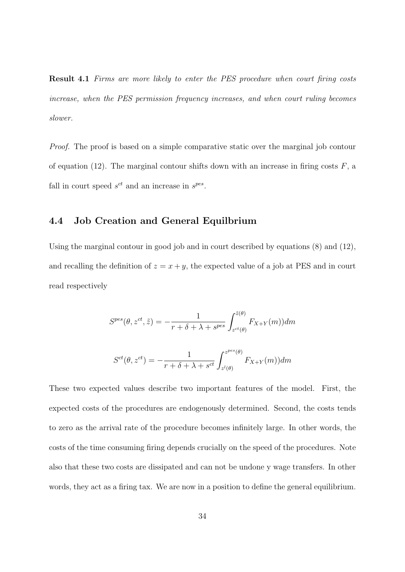Result 4.1 Firms are more likely to enter the PES procedure when court firing costs increase, when the PES permission frequency increases, and when court ruling becomes slower.

Proof. The proof is based on a simple comparative static over the marginal job contour of equation (12). The marginal contour shifts down with an increase in firing costs  $F$ , a fall in court speed  $s^{ct}$  and an increase in  $s^{pes}$ .

### 4.4 Job Creation and General Equilbrium

Using the marginal contour in good job and in court described by equations (8) and (12), and recalling the definition of  $z = x + y$ , the expected value of a job at PES and in court read respectively

$$
S^{pes}(\theta, z^{ct}, \tilde{z}) = -\frac{1}{r + \delta + \lambda + s^{pes}} \int_{z^{ct}(\theta)}^{\tilde{z}(\theta)} F_{X+Y}(m) dm
$$
  

$$
S^{ct}(\theta, z^{ct}) = -\frac{1}{r + \delta + \lambda + s^{ct}} \int_{z^{l}(\theta)}^{z^{pes}(\theta)} F_{X+Y}(m) dm
$$

These two expected values describe two important features of the model. First, the expected costs of the procedures are endogenously determined. Second, the costs tends to zero as the arrival rate of the procedure becomes infinitely large. In other words, the costs of the time consuming firing depends crucially on the speed of the procedures. Note also that these two costs are dissipated and can not be undone y wage transfers. In other words, they act as a firing tax. We are now in a position to define the general equilibrium.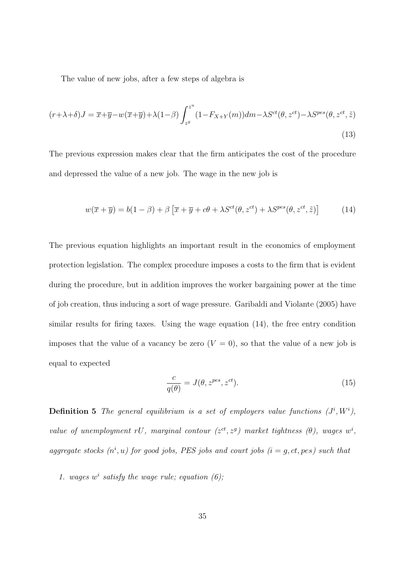The value of new jobs, after a few steps of algebra is

$$
(r+\lambda+\delta)J = \overline{x}+\overline{y}-w(\overline{x}+\overline{y})+\lambda(1-\beta)\int_{z^g}^{z^u}(1-F_{X+Y}(m))dm-\lambda S^{ct}(\theta, z^{ct})-\lambda S^{pes}(\theta, z^{ct}, \tilde{z})
$$
\n(13)

The previous expression makes clear that the firm anticipates the cost of the procedure and depressed the value of a new job. The wage in the new job is

$$
w(\overline{x} + \overline{y}) = b(1 - \beta) + \beta \left[ \overline{x} + \overline{y} + c\theta + \lambda S^{ct}(\theta, z^{ct}) + \lambda S^{pes}(\theta, z^{ct}, \tilde{z}) \right]
$$
(14)

The previous equation highlights an important result in the economics of employment protection legislation. The complex procedure imposes a costs to the firm that is evident during the procedure, but in addition improves the worker bargaining power at the time of job creation, thus inducing a sort of wage pressure. Garibaldi and Violante (2005) have similar results for firing taxes. Using the wage equation (14), the free entry condition imposes that the value of a vacancy be zero  $(V = 0)$ , so that the value of a new job is equal to expected

$$
\frac{c}{q(\theta)} = J(\theta, z^{pes}, z^{ct}).
$$
\n(15)

**Definition 5** The general equilibrium is a set of employers value functions  $(J^i, W^i)$ , value of unemployment rU, marginal contour  $(z^{ct}, z^{g})$  market tightness  $(\theta)$ , wages  $w^{i}$ , aggregate stocks  $(n^i, u)$  for good jobs, PES jobs and court jobs  $(i = g, ct, pes)$  such that

1. wages  $w^i$  satisfy the wage rule; equation (6);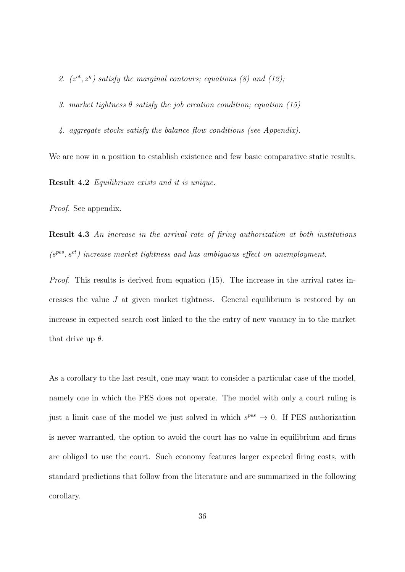2.  $(z^{ct}, z^g)$  satisfy the marginal contours; equations (8) and (12);

3. market tightness  $\theta$  satisfy the job creation condition; equation (15)

4. aggregate stocks satisfy the balance flow conditions (see Appendix).

We are now in a position to establish existence and few basic comparative static results.

Result 4.2 Equilibrium exists and it is unique.

Proof. See appendix.

Result 4.3 An increase in the arrival rate of firing authorization at both institutions  $(s^{pes}, s^{ct})$  increase market tightness and has ambiguous effect on unemployment.

Proof. This results is derived from equation (15). The increase in the arrival rates increases the value J at given market tightness. General equilibrium is restored by an increase in expected search cost linked to the the entry of new vacancy in to the market that drive up  $\theta$ .

As a corollary to the last result, one may want to consider a particular case of the model, namely one in which the PES does not operate. The model with only a court ruling is just a limit case of the model we just solved in which  $s^{pes} \rightarrow 0$ . If PES authorization is never warranted, the option to avoid the court has no value in equilibrium and firms are obliged to use the court. Such economy features larger expected firing costs, with standard predictions that follow from the literature and are summarized in the following corollary.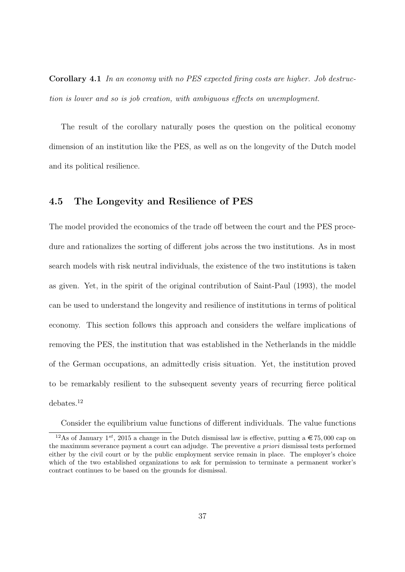Corollary 4.1 In an economy with no PES expected firing costs are higher. Job destruction is lower and so is job creation, with ambiguous effects on unemployment.

The result of the corollary naturally poses the question on the political economy dimension of an institution like the PES, as well as on the longevity of the Dutch model and its political resilience.

### 4.5 The Longevity and Resilience of PES

The model provided the economics of the trade off between the court and the PES procedure and rationalizes the sorting of different jobs across the two institutions. As in most search models with risk neutral individuals, the existence of the two institutions is taken as given. Yet, in the spirit of the original contribution of Saint-Paul (1993), the model can be used to understand the longevity and resilience of institutions in terms of political economy. This section follows this approach and considers the welfare implications of removing the PES, the institution that was established in the Netherlands in the middle of the German occupations, an admittedly crisis situation. Yet, the institution proved to be remarkably resilient to the subsequent seventy years of recurring fierce political debates.<sup>12</sup>

Consider the equilibrium value functions of different individuals. The value functions

<sup>&</sup>lt;sup>12</sup>As of January 1<sup>st</sup>, 2015 a change in the Dutch dismissal law is effective, putting a  $\in 75,000$  cap on the maximum severance payment a court can adjudge. The preventive a priori dismissal tests performed either by the civil court or by the public employment service remain in place. The employer's choice which of the two established organizations to ask for permission to terminate a permanent worker's contract continues to be based on the grounds for dismissal.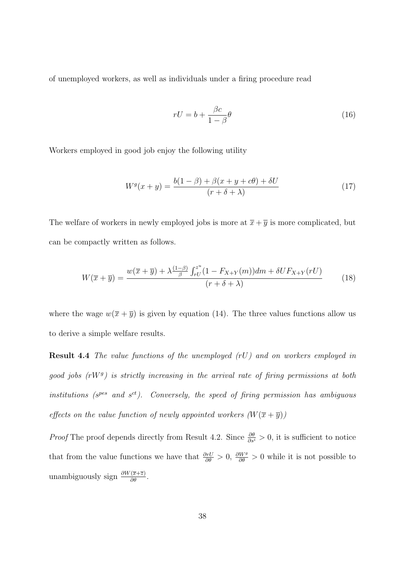of unemployed workers, as well as individuals under a firing procedure read

$$
rU = b + \frac{\beta c}{1 - \beta} \theta \tag{16}
$$

Workers employed in good job enjoy the following utility

$$
W^g(x+y) = \frac{b(1-\beta) + \beta(x+y+c\theta) + \delta U}{(r+\delta+\lambda)}
$$
(17)

The welfare of workers in newly employed jobs is more at  $\overline{x} + \overline{y}$  is more complicated, but can be compactly written as follows.

$$
W(\overline{x} + \overline{y}) = \frac{w(\overline{x} + \overline{y}) + \lambda \frac{(1-\beta)}{\beta} \int_{rU}^{z^u} (1 - F_{X+Y}(m)) dm + \delta U F_{X+Y}(rU)}{(r + \delta + \lambda)}
$$
(18)

where the wage  $w(\overline{x} + \overline{y})$  is given by equation (14). The three values functions allow us to derive a simple welfare results.

Result 4.4 The value functions of the unemployed (rU) and on workers employed in good jobs  $(rW<sup>g</sup>)$  is strictly increasing in the arrival rate of firing permissions at both institutions ( $s^{pes}$  and  $s^{ct}$ ). Conversely, the speed of firing permission has ambiguous effects on the value function of newly appointed workers  $(W(\overline{x} + \overline{y}))$ 

*Proof* The proof depends directly from Result 4.2. Since  $\frac{\partial \theta}{\partial s^i} > 0$ , it is sufficient to notice that from the value functions we have that  $\frac{\partial rU}{\partial \theta} > 0$ ,  $\frac{\partial W^g}{\partial \theta} > 0$  while it is not possible to unambiguously sign  $\frac{\partial W(\overline{x}+\overline{z})}{\partial \theta}$ .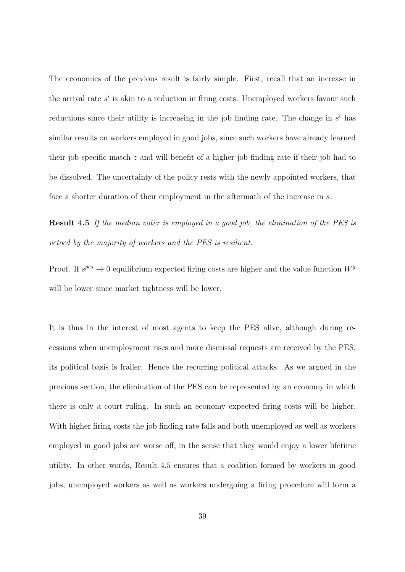The economics of the previous result is fairly simple. First, recall that an increase in the arrival rate  $s^i$  is akin to a reduction in firing costs. Unemployed workers favour such reductions since their utility is increasing in the job finding rate. The change in  $s^i$  has similar results on workers employed in good jobs, since such workers have already learned their job specific match z and will benefit of a higher job finding rate if their job had to be dissolved. The uncertainty of the policy rests with the newly appointed workers, that face a shorter duration of their employment in the aftermath of the increase in s.

Result 4.5 If the median voter is employed in a good job, the elimination of the PES is vetoed by the majority of workers and the PES is resilient.

Proof. If  $s^{pes} \to 0$  equilibrium expected firing costs are higher and the value function  $W^g$ will be lower since market tightness will be lower.

It is thus in the interest of most agents to keep the PES alive, although during recessions when unemployment rises and more dismissal requests are received by the PES, its political basis is frailer. Hence the recurring political attacks. As we argued in the previous section, the elimination of the PES can be represented by an economy in which there is only a court ruling. In such an economy expected firing costs will be higher. With higher firing costs the job finding rate falls and both unemployed as well as workers employed in good jobs are worse off, in the sense that they would enjoy a lower lifetime utility. In other words, Result 4.5 ensures that a coalition formed by workers in good jobs, unemployed workers as well as workers undergoing a firing procedure will form a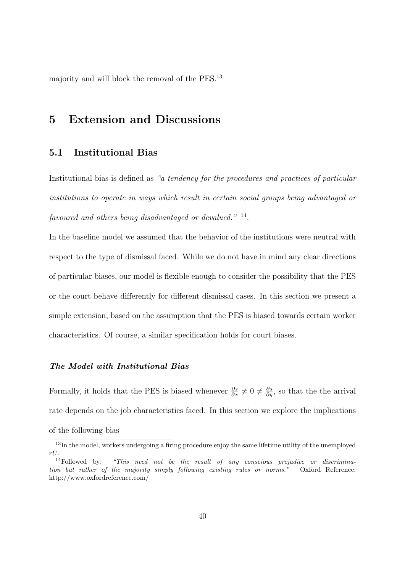majority and will block the removal of the PES.<sup>13</sup>

## 5 Extension and Discussions

### 5.1 Institutional Bias

Institutional bias is defined as "a tendency for the procedures and practices of particular institutions to operate in ways which result in certain social groups being advantaged or favoured and others being disadvantaged or devalued." <sup>14</sup>.

In the baseline model we assumed that the behavior of the institutions were neutral with respect to the type of dismissal faced. While we do not have in mind any clear directions of particular biases, our model is flexible enough to consider the possibility that the PES or the court behave differently for different dismissal cases. In this section we present a simple extension, based on the assumption that the PES is biased towards certain worker characteristics. Of course, a similar specification holds for court biases.

#### The Model with Institutional Bias

Formally, it holds that the PES is biased whenever  $\frac{\partial s}{\partial x} \neq 0 \neq \frac{\partial s}{\partial y}$ , so that the the arrival rate depends on the job characteristics faced. In this section we explore the implications of the following bias

<sup>&</sup>lt;sup>13</sup>In the model, workers undergoing a firing procedure enjoy the same lifetime utility of the unemployed rU.

<sup>&</sup>quot;This need not be the result of any conscious prejudice or discrimination but rather of the majority simply following existing rules or norms." Oxford Reference: http://www.oxfordreference.com/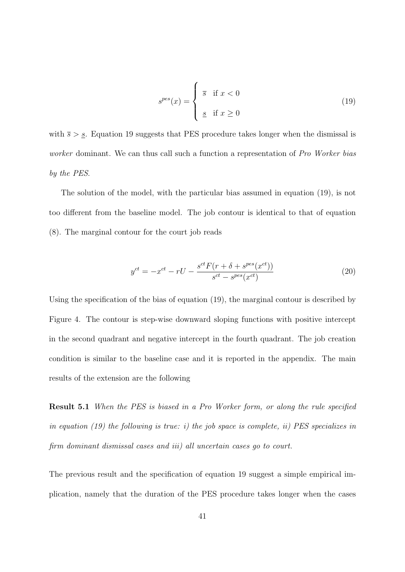$$
s^{pes}(x) = \begin{cases} \overline{s} & \text{if } x < 0\\ \underline{s} & \text{if } x \ge 0 \end{cases}
$$
 (19)

with  $\bar{s} > \underline{s}$ . Equation 19 suggests that PES procedure takes longer when the dismissal is worker dominant. We can thus call such a function a representation of Pro Worker bias by the PES.

The solution of the model, with the particular bias assumed in equation (19), is not too different from the baseline model. The job contour is identical to that of equation (8). The marginal contour for the court job reads

$$
y^{ct} = -x^{ct} - rU - \frac{s^{ct} F(r + \delta + s^{pes}(x^{ct}))}{s^{ct} - s^{pes}(x^{ct})}
$$
(20)

Using the specification of the bias of equation (19), the marginal contour is described by Figure 4. The contour is step-wise downward sloping functions with positive intercept in the second quadrant and negative intercept in the fourth quadrant. The job creation condition is similar to the baseline case and it is reported in the appendix. The main results of the extension are the following

Result 5.1 When the PES is biased in a Pro Worker form, or along the rule specified in equation  $(19)$  the following is true: i) the job space is complete, ii) PES specializes in firm dominant dismissal cases and iii) all uncertain cases go to court.

The previous result and the specification of equation 19 suggest a simple empirical implication, namely that the duration of the PES procedure takes longer when the cases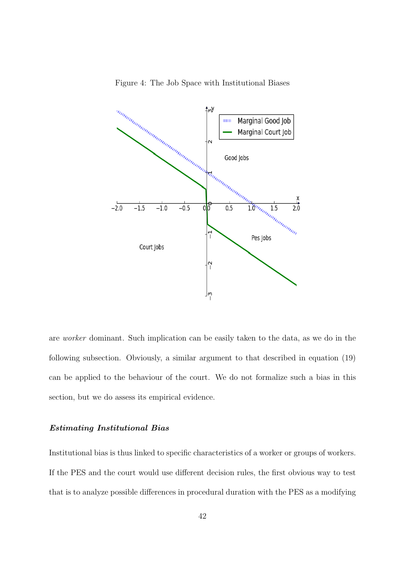

Figure 4: The Job Space with Institutional Biases

are worker dominant. Such implication can be easily taken to the data, as we do in the following subsection. Obviously, a similar argument to that described in equation (19) can be applied to the behaviour of the court. We do not formalize such a bias in this section, but we do assess its empirical evidence.

#### Estimating Institutional Bias

Institutional bias is thus linked to specific characteristics of a worker or groups of workers. If the PES and the court would use different decision rules, the first obvious way to test that is to analyze possible differences in procedural duration with the PES as a modifying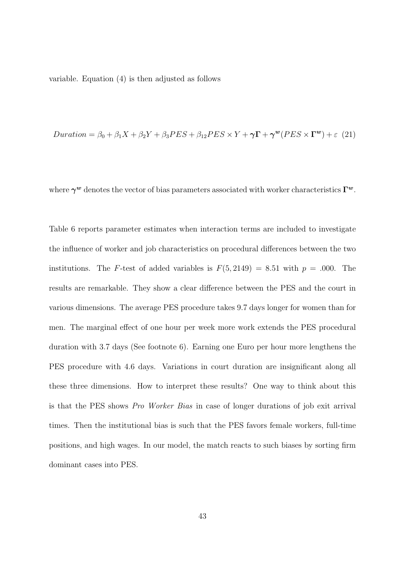variable. Equation (4) is then adjusted as follows

*Duration* = 
$$
\beta_0 + \beta_1 X + \beta_2 Y + \beta_3 PES + \beta_{12} PES \times Y + \gamma \Gamma + \gamma^w (PES \times \Gamma^w) + \epsilon
$$
 (21)

where  $\gamma^w$  denotes the vector of bias parameters associated with worker characteristics  $\Gamma^w$ .

Table 6 reports parameter estimates when interaction terms are included to investigate the influence of worker and job characteristics on procedural differences between the two institutions. The F-test of added variables is  $F(5, 2149) = 8.51$  with  $p = .000$ . The results are remarkable. They show a clear difference between the PES and the court in various dimensions. The average PES procedure takes 9.7 days longer for women than for men. The marginal effect of one hour per week more work extends the PES procedural duration with 3.7 days (See footnote 6). Earning one Euro per hour more lengthens the PES procedure with 4.6 days. Variations in court duration are insignificant along all these three dimensions. How to interpret these results? One way to think about this is that the PES shows Pro Worker Bias in case of longer durations of job exit arrival times. Then the institutional bias is such that the PES favors female workers, full-time positions, and high wages. In our model, the match reacts to such biases by sorting firm dominant cases into PES.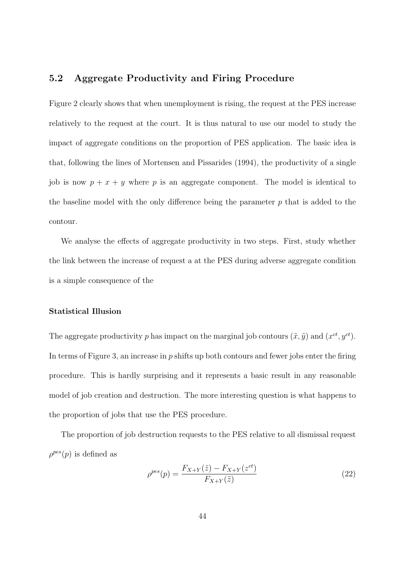### 5.2 Aggregate Productivity and Firing Procedure

Figure 2 clearly shows that when unemployment is rising, the request at the PES increase relatively to the request at the court. It is thus natural to use our model to study the impact of aggregate conditions on the proportion of PES application. The basic idea is that, following the lines of Mortensen and Pissarides (1994), the productivity of a single job is now  $p + x + y$  where p is an aggregate component. The model is identical to the baseline model with the only difference being the parameter  $p$  that is added to the contour.

We analyse the effects of aggregate productivity in two steps. First, study whether the link between the increase of request a at the PES during adverse aggregate condition is a simple consequence of the

#### Statistical Illusion

The aggregate productivity p has impact on the marginal job contours  $(\tilde{x}, \tilde{y})$  and  $(x^{ct}, y^{ct})$ . In terms of Figure 3, an increase in  $p$  shifts up both contours and fewer jobs enter the firing procedure. This is hardly surprising and it represents a basic result in any reasonable model of job creation and destruction. The more interesting question is what happens to the proportion of jobs that use the PES procedure.

The proportion of job destruction requests to the PES relative to all dismissal request  $\rho^{pes}(p)$  is defined as

$$
\rho^{pes}(p) = \frac{F_{X+Y}(\tilde{z}) - F_{X+Y}(z^{ct})}{F_{X+Y}(\tilde{z})}
$$
\n(22)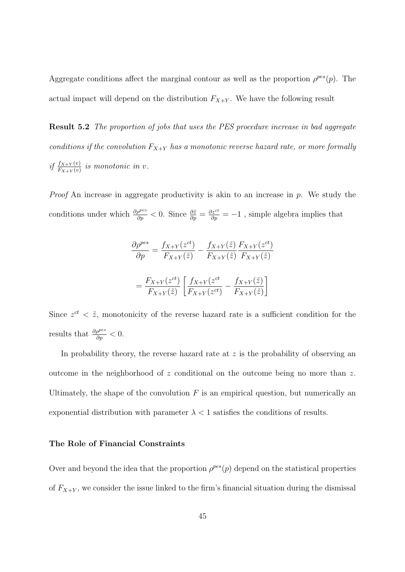Aggregate conditions affect the marginal contour as well as the proportion  $\rho^{pes}(p)$ . The actual impact will depend on the distribution  $F_{X+Y}$ . We have the following result

Result 5.2 The proportion of jobs that uses the PES procedure increase in bad aggregate conditions if the convolution  $F_{X+Y}$  has a monotonic reverse hazard rate, or more formally if  $\frac{f_{X+Y}(v)}{F_{X+Y}(v)}$  is monotonic in v.

*Proof* An increase in aggregate productivity is akin to an increase in  $p$ . We study the conditions under which  $\frac{\partial \rho^{pes}}{\partial p} < 0$ . Since  $\frac{\partial \tilde{z}}{\partial p} = \frac{\partial z^{ct}}{\partial p} = -1$ , simple algebra implies that

$$
\frac{\partial \rho^{pes}}{\partial p} = \frac{f_{X+Y}(z^{ct})}{F_{X+Y}(\tilde{z})} - \frac{f_{X+Y}(\tilde{z})}{F_{X+Y}(\tilde{z})} \frac{F_{X+Y}(z^{ct})}{F_{X+Y}(\tilde{z})}
$$

$$
= \frac{F_{X+Y}(z^{ct})}{F_{X+Y}(\tilde{z})} \left[ \frac{f_{X+Y}(z^{ct})}{F_{X+Y}(z^{ct})} - \frac{f_{X+Y}(\tilde{z})}{F_{X+Y}(\tilde{z})} \right]
$$

Since  $z^{ct} < \tilde{z}$ , monotonicity of the reverse hazard rate is a sufficient condition for the results that  $\frac{\partial \rho^{pes}}{\partial p} < 0$ .

In probability theory, the reverse hazard rate at  $z$  is the probability of observing an outcome in the neighborhood of z conditional on the outcome being no more than  $z$ . Ultimately, the shape of the convolution  $F$  is an empirical question, but numerically an exponential distribution with parameter  $\lambda < 1$  satisfies the conditions of results.

#### The Role of Financial Constraints

Over and beyond the idea that the proportion  $\rho^{pes}(p)$  depend on the statistical properties of  $F_{X+Y}$ , we consider the issue linked to the firm's financial situation during the dismissal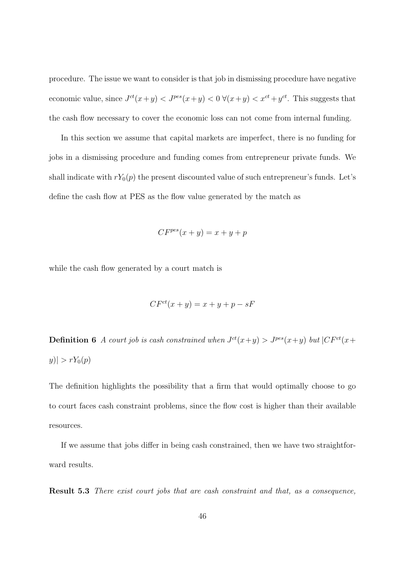procedure. The issue we want to consider is that job in dismissing procedure have negative economic value, since  $J^{ct}(x+y) < J^{pes}(x+y) < 0 \ \forall (x+y) < x^{ct} + y^{ct}$ . This suggests that the cash flow necessary to cover the economic loss can not come from internal funding.

In this section we assume that capital markets are imperfect, there is no funding for jobs in a dismissing procedure and funding comes from entrepreneur private funds. We shall indicate with  $rY_0(p)$  the present discounted value of such entrepreneur's funds. Let's define the cash flow at PES as the flow value generated by the match as

$$
CF^{pes}(x+y) = x+y+p
$$

while the cash flow generated by a court match is

$$
CF^{ct}(x+y) = x+y+p-sF
$$

**Definition 6** A court job is cash constrained when  $J^{ct}(x+y) > J^{pes}(x+y)$  but  $|CF^{ct}(x+y)|$  $|y| > rY_0(p)$ 

The definition highlights the possibility that a firm that would optimally choose to go to court faces cash constraint problems, since the flow cost is higher than their available resources.

If we assume that jobs differ in being cash constrained, then we have two straightforward results.

Result 5.3 There exist court jobs that are cash constraint and that, as a consequence,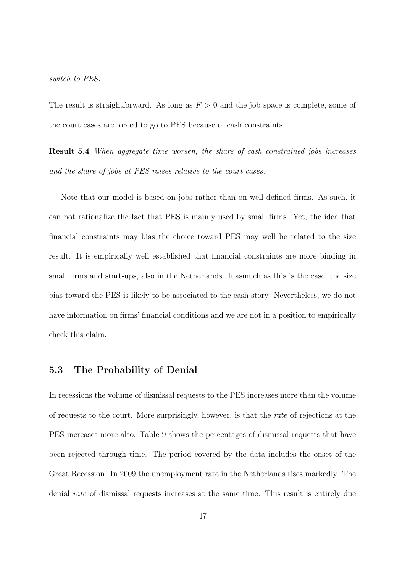#### switch to PES.

The result is straightforward. As long as  $F > 0$  and the job space is complete, some of the court cases are forced to go to PES because of cash constraints.

Result 5.4 When aggregate time worsen, the share of cash constrained jobs increases and the share of jobs at PES raises relative to the court cases.

Note that our model is based on jobs rather than on well defined firms. As such, it can not rationalize the fact that PES is mainly used by small firms. Yet, the idea that financial constraints may bias the choice toward PES may well be related to the size result. It is empirically well established that financial constraints are more binding in small firms and start-ups, also in the Netherlands. Inasmuch as this is the case, the size bias toward the PES is likely to be associated to the cash story. Nevertheless, we do not have information on firms' financial conditions and we are not in a position to empirically check this claim.

### 5.3 The Probability of Denial

In recessions the volume of dismissal requests to the PES increases more than the volume of requests to the court. More surprisingly, however, is that the rate of rejections at the PES increases more also. Table 9 shows the percentages of dismissal requests that have been rejected through time. The period covered by the data includes the onset of the Great Recession. In 2009 the unemployment rate in the Netherlands rises markedly. The denial rate of dismissal requests increases at the same time. This result is entirely due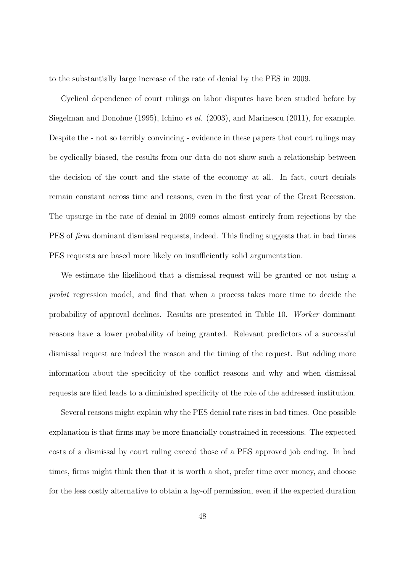to the substantially large increase of the rate of denial by the PES in 2009.

Cyclical dependence of court rulings on labor disputes have been studied before by Siegelman and Donohue (1995), Ichino et al. (2003), and Marinescu (2011), for example. Despite the - not so terribly convincing - evidence in these papers that court rulings may be cyclically biased, the results from our data do not show such a relationship between the decision of the court and the state of the economy at all. In fact, court denials remain constant across time and reasons, even in the first year of the Great Recession. The upsurge in the rate of denial in 2009 comes almost entirely from rejections by the PES of *firm* dominant dismissal requests, indeed. This finding suggests that in bad times PES requests are based more likely on insufficiently solid argumentation.

We estimate the likelihood that a dismissal request will be granted or not using a probit regression model, and find that when a process takes more time to decide the probability of approval declines. Results are presented in Table 10. Worker dominant reasons have a lower probability of being granted. Relevant predictors of a successful dismissal request are indeed the reason and the timing of the request. But adding more information about the specificity of the conflict reasons and why and when dismissal requests are filed leads to a diminished specificity of the role of the addressed institution.

Several reasons might explain why the PES denial rate rises in bad times. One possible explanation is that firms may be more financially constrained in recessions. The expected costs of a dismissal by court ruling exceed those of a PES approved job ending. In bad times, firms might think then that it is worth a shot, prefer time over money, and choose for the less costly alternative to obtain a lay-off permission, even if the expected duration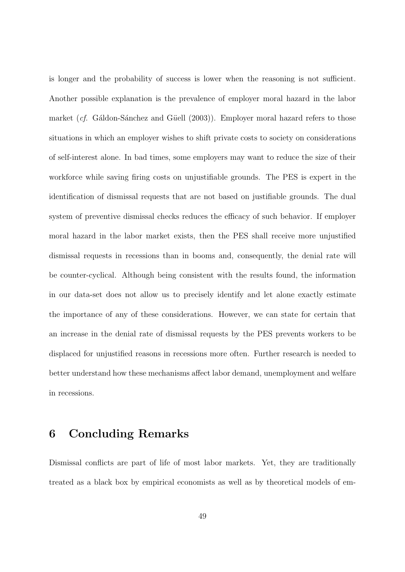is longer and the probability of success is lower when the reasoning is not sufficient. Another possible explanation is the prevalence of employer moral hazard in the labor market (*cf.* Gáldon-Sánchez and Güell  $(2003)$ ). Employer moral hazard refers to those situations in which an employer wishes to shift private costs to society on considerations of self-interest alone. In bad times, some employers may want to reduce the size of their workforce while saving firing costs on unjustifiable grounds. The PES is expert in the identification of dismissal requests that are not based on justifiable grounds. The dual system of preventive dismissal checks reduces the efficacy of such behavior. If employer moral hazard in the labor market exists, then the PES shall receive more unjustified dismissal requests in recessions than in booms and, consequently, the denial rate will be counter-cyclical. Although being consistent with the results found, the information in our data-set does not allow us to precisely identify and let alone exactly estimate the importance of any of these considerations. However, we can state for certain that an increase in the denial rate of dismissal requests by the PES prevents workers to be displaced for unjustified reasons in recessions more often. Further research is needed to better understand how these mechanisms affect labor demand, unemployment and welfare in recessions.

## 6 Concluding Remarks

Dismissal conflicts are part of life of most labor markets. Yet, they are traditionally treated as a black box by empirical economists as well as by theoretical models of em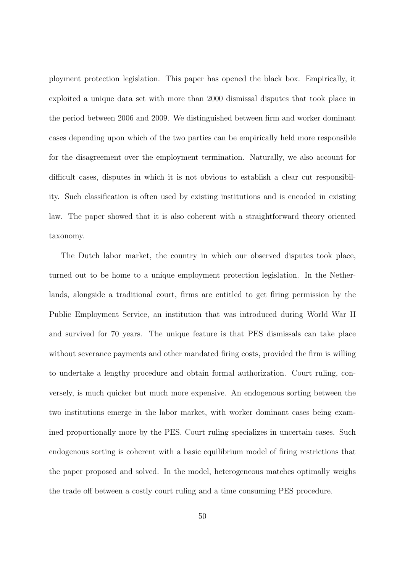ployment protection legislation. This paper has opened the black box. Empirically, it exploited a unique data set with more than 2000 dismissal disputes that took place in the period between 2006 and 2009. We distinguished between firm and worker dominant cases depending upon which of the two parties can be empirically held more responsible for the disagreement over the employment termination. Naturally, we also account for difficult cases, disputes in which it is not obvious to establish a clear cut responsibility. Such classification is often used by existing institutions and is encoded in existing law. The paper showed that it is also coherent with a straightforward theory oriented taxonomy.

The Dutch labor market, the country in which our observed disputes took place, turned out to be home to a unique employment protection legislation. In the Netherlands, alongside a traditional court, firms are entitled to get firing permission by the Public Employment Service, an institution that was introduced during World War II and survived for 70 years. The unique feature is that PES dismissals can take place without severance payments and other mandated firing costs, provided the firm is willing to undertake a lengthy procedure and obtain formal authorization. Court ruling, conversely, is much quicker but much more expensive. An endogenous sorting between the two institutions emerge in the labor market, with worker dominant cases being examined proportionally more by the PES. Court ruling specializes in uncertain cases. Such endogenous sorting is coherent with a basic equilibrium model of firing restrictions that the paper proposed and solved. In the model, heterogeneous matches optimally weighs the trade off between a costly court ruling and a time consuming PES procedure.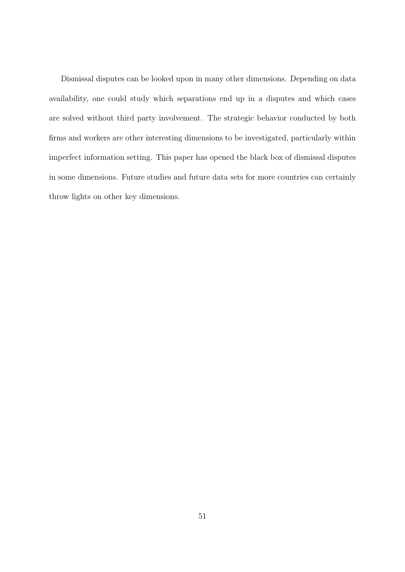Dismissal disputes can be looked upon in many other dimensions. Depending on data availability, one could study which separations end up in a disputes and which cases are solved without third party involvement. The strategic behavior conducted by both firms and workers are other interesting dimensions to be investigated, particularly within imperfect information setting. This paper has opened the black box of dismissal disputes in some dimensions. Future studies and future data sets for more countries can certainly throw lights on other key dimensions.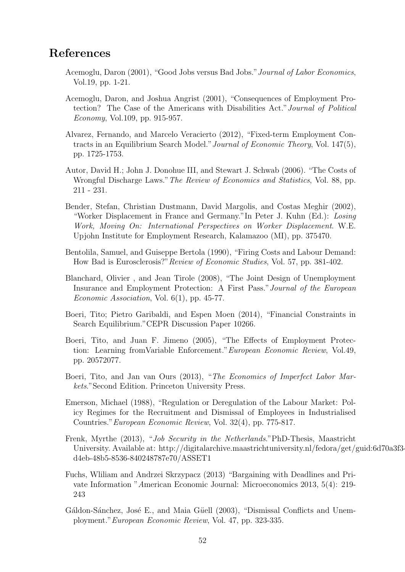## References

- Acemoglu, Daron (2001), "Good Jobs versus Bad Jobs."Journal of Labor Economics, Vol.19, pp. 1-21.
- Acemoglu, Daron, and Joshua Angrist (2001), "Consequences of Employment Protection? The Case of the Americans with Disabilities Act."Journal of Political Economy, Vol.109, pp. 915-957.
- Alvarez, Fernando, and Marcelo Veracierto (2012), "Fixed-term Employment Contracts in an Equilibrium Search Model."Journal of Economic Theory, Vol. 147(5), pp. 1725-1753.
- Autor, David H.; John J. Donohue III, and Stewart J. Schwab (2006). "The Costs of Wrongful Discharge Laws."The Review of Economics and Statistics, Vol. 88, pp. 211 - 231.
- Bender, Stefan, Christian Dustmann, David Margolis, and Costas Meghir (2002), "Worker Displacement in France and Germany."In Peter J. Kuhn (Ed.): Losing Work, Moving On: International Perspectives on Worker Displacement. W.E. Upjohn Institute for Employment Research, Kalamazoo (MI), pp. 375470.
- Bentolila, Samuel, and Guiseppe Bertola (1990), "Firing Costs and Labour Demand: How Bad is Eurosclerosis?" Review of Economic Studies, Vol. 57, pp. 381-402.
- Blanchard, Olivier , and Jean Tirole (2008), "The Joint Design of Unemployment Insurance and Employment Protection: A First Pass."Journal of the European Economic Association, Vol. 6(1), pp. 45-77.
- Boeri, Tito; Pietro Garibaldi, and Espen Moen (2014), "Financial Constraints in Search Equilibrium."CEPR Discussion Paper 10266.
- Boeri, Tito, and Juan F. Jimeno (2005), "The Effects of Employment Protection: Learning fromVariable Enforcement."European Economic Review, Vol.49, pp. 20572077.
- Boeri, Tito, and Jan van Ours (2013), "The Economics of Imperfect Labor Markets."Second Edition. Princeton University Press.
- Emerson, Michael (1988), "Regulation or Deregulation of the Labour Market: Policy Regimes for the Recruitment and Dismissal of Employees in Industrialised Countries."European Economic Review, Vol. 32(4), pp. 775-817.
- Frenk, Myrthe (2013), "Job Security in the Netherlands."PhD-Thesis, Maastricht University. Available at: http://digitalarchive.maastrichtuniversity.nl/fedora/get/guid:6d70a3f3 d4eb-48b5-8536-840248787e70/ASSET1
- Fuchs, Wliliam and Andrzei Skrzypacz (2013) "Bargaining with Deadlines and Private Information "American Economic Journal: Microeconomics 2013, 5(4): 219- 243
- Gáldon-Sánchez, José E., and Maia Güell (2003), "Dismissal Conflicts and Unemployment."European Economic Review, Vol. 47, pp. 323-335.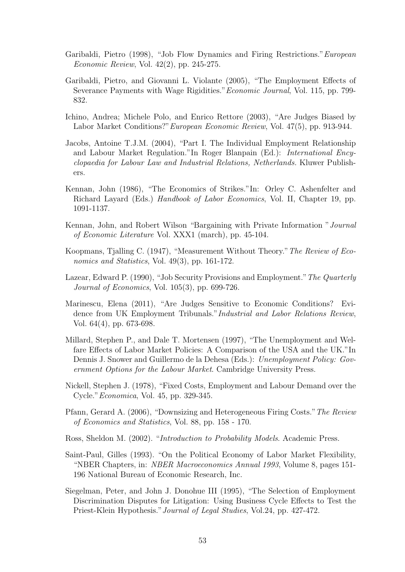- Garibaldi, Pietro (1998), "Job Flow Dynamics and Firing Restrictions."European Economic Review, Vol. 42(2), pp. 245-275.
- Garibaldi, Pietro, and Giovanni L. Violante (2005), "The Employment Effects of Severance Payments with Wage Rigidities."Economic Journal, Vol. 115, pp. 799- 832.
- Ichino, Andrea; Michele Polo, and Enrico Rettore (2003), "Are Judges Biased by Labor Market Conditions?"European Economic Review, Vol. 47(5), pp. 913-944.
- Jacobs, Antoine T.J.M. (2004), "Part I. The Individual Employment Relationship and Labour Market Regulation."In Roger Blanpain (Ed.): International Encyclopaedia for Labour Law and Industrial Relations, Netherlands. Kluwer Publishers.
- Kennan, John (1986), "The Economics of Strikes."In: Orley C. Ashenfelter and Richard Layard (Eds.) *Handbook of Labor Economics*, Vol. II, Chapter 19, pp. 1091-1137.
- Kennan, John, and Robert Wilson "Bargaining with Private Information "Journal of Economic Literature Vol. XXX1 (march), pp. 45-104.
- Koopmans, Tjalling C. (1947), "Measurement Without Theory."The Review of Economics and Statistics, Vol. 49(3), pp. 161-172.
- Lazear, Edward P. (1990), "Job Security Provisions and Employment."The Quarterly Journal of Economics, Vol. 105(3), pp. 699-726.
- Marinescu, Elena (2011), "Are Judges Sensitive to Economic Conditions? Evidence from UK Employment Tribunals."Industrial and Labor Relations Review, Vol. 64(4), pp. 673-698.
- Millard, Stephen P., and Dale T. Mortensen (1997), "The Unemployment and Welfare Effects of Labor Market Policies: A Comparison of the USA and the UK."In Dennis J. Snower and Guillermo de la Dehesa (Eds.): Unemployment Policy: Government Options for the Labour Market. Cambridge University Press.
- Nickell, Stephen J. (1978), "Fixed Costs, Employment and Labour Demand over the Cycle."Economica, Vol. 45, pp. 329-345.
- Pfann, Gerard A. (2006), "Downsizing and Heterogeneous Firing Costs."The Review of Economics and Statistics, Vol. 88, pp. 158 - 170.
- Ross, Sheldon M. (2002). "Introduction to Probability Models. Academic Press.
- Saint-Paul, Gilles (1993). "On the Political Economy of Labor Market Flexibility, "NBER Chapters, in: NBER Macroeconomics Annual 1993, Volume 8, pages 151- 196 National Bureau of Economic Research, Inc.
- Siegelman, Peter, and John J. Donohue III (1995), "The Selection of Employment Discrimination Disputes for Litigation: Using Business Cycle Effects to Test the Priest-Klein Hypothesis."Journal of Legal Studies, Vol.24, pp. 427-472.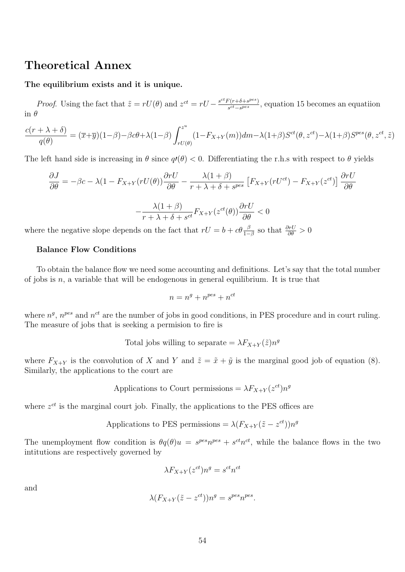### Theoretical Annex

#### The equilibrium exists and it is unique.

*Proof.* Using the fact that  $\tilde{z} = rU(\theta)$  and  $z^{ct} = rU - \frac{s^{ct}F(r+\delta+s^{pes})}{s^{ct}-s^{pes}}$  $\frac{\binom{r}{r+0+3e^{rc}}}{s^{ct}-s^{pes}}$ , equation 15 becomes an equation in  $\theta$ 

$$
\frac{c(r+\lambda+\delta)}{q(\theta)}=(\overline{x}+\overline{y})(1-\beta)-\beta c\theta+\lambda(1-\beta)\int_{rU(\theta)}^{z^u}(1-F_{X+Y}(m))dm-\lambda(1+\beta)S^{ct}(\theta,z^{ct})-\lambda(1+\beta)S^{pes}(\theta,z^{ct},\tilde{z})
$$

The left hand side is increasing in  $\theta$  since  $q\ell(\theta) < 0$ . Differentiating the r.h.s with respect to  $\theta$  yields

$$
\frac{\partial J}{\partial \theta} = -\beta c - \lambda (1 - F_{X+Y}(rU(\theta)) \frac{\partial rU}{\partial \theta} - \frac{\lambda (1 + \beta)}{r + \lambda + \delta + s^{pes}} \left[ F_{X+Y}(rU^{ct}) - F_{X+Y}(z^{ct}) \right] \frac{\partial rU}{\partial \theta}
$$

$$
\lambda (1 + \beta) = -\lambda (rV(\theta)) \frac{\partial rU}{\partial \theta}
$$

$$
-\frac{\lambda(1+\beta)}{r+\lambda+\delta+s^{ct}}F_{X+Y}(z^{ct}(\theta))\frac{\partial rU}{\partial\theta}<0
$$

where the negative slope depends on the fact that  $rU = b + c\theta \frac{\beta}{1-\beta}$  so that  $\frac{\partial rU}{\partial \theta} > 0$ 

#### Balance Flow Conditions

To obtain the balance flow we need some accounting and definitions. Let's say that the total number of jobs is  $n$ , a variable that will be endogenous in general equilibrium. It is true that

$$
n = n^g + n^{pes} + n^{ct}
$$

where  $n<sup>g</sup>$ ,  $n<sup>pes</sup>$  and  $n<sup>ct</sup>$  are the number of jobs in good conditions, in PES procedure and in court ruling. The measure of jobs that is seeking a permision to fire is

Total jobs willing to separate = 
$$
\lambda F_{X+Y}(\tilde{z})n^g
$$

where  $F_{X+Y}$  is the convolution of X and Y and  $\tilde{z} = \tilde{x} + \tilde{y}$  is the marginal good job of equation (8). Similarly, the applications to the court are

Applications to Court permissions = 
$$
\lambda F_{X+Y}(z^{ct})n^g
$$

where  $z^{ct}$  is the marginal court job. Finally, the applications to the PES offices are

Applications to PES permissions = 
$$
\lambda (F_{X+Y}(\tilde{z} - z^{ct}))n^g
$$

The unemployment flow condition is  $\theta q(\theta)u = s^{pes}n^{pes} + s^{ct}n^{ct}$ , while the balance flows in the two intitutions are respectively governed by

$$
\lambda F_{X+Y}(z^{ct})n^g = s^{ct}n^{ct}
$$

and

$$
\lambda(F_{X+Y}(\tilde{z} - z^{ct}))n^g = s^{pes}n^{pes}.
$$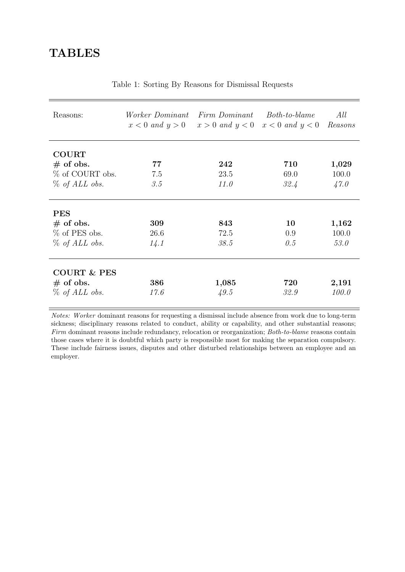| Reasons:                                                           | <i>Worker Dominant</i> | Firm Dominant<br>$x < 0$ and $y > 0$ $x > 0$ and $y < 0$ $x < 0$ and $y < 0$ | $Both-to-blane$     | All<br>Reasons         |
|--------------------------------------------------------------------|------------------------|------------------------------------------------------------------------------|---------------------|------------------------|
| <b>COURT</b><br>$#$ of obs.<br>% of COURT obs.<br>$\%$ of ALL obs. | 77<br>7.5<br>3.5       | 242<br>23.5<br>11.0                                                          | 710<br>69.0<br>32.4 | 1,029<br>100.0<br>47.0 |
| <b>PES</b><br>$#$ of obs.<br>% of PES obs.<br>$\%$ of ALL obs.     | 309<br>26.6<br>14.1    | 843<br>72.5<br>38.5                                                          | 10<br>0.9<br>0.5    | 1,162<br>100.0<br>53.0 |
| <b>COURT &amp; PES</b><br>$#$ of obs.<br>$\%$ of ALL obs.          | 386<br>17.6            | 1,085<br>49.5                                                                | 720<br>32.9         | 2,191<br>100.0         |

Table 1: Sorting By Reasons for Dismissal Requests

Notes: Worker dominant reasons for requesting a dismissal include absence from work due to long-term sickness; disciplinary reasons related to conduct, ability or capability, and other substantial reasons; Firm dominant reasons include redundancy, relocation or reorganization; Both-to-blame reasons contain those cases where it is doubtful which party is responsible most for making the separation compulsory. These include fairness issues, disputes and other disturbed relationships between an employee and an employer.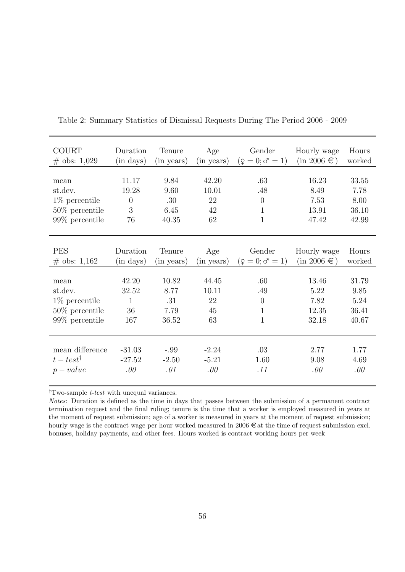| <b>COURT</b>         | Duration       | Tenure     | Age        | Gender                | Hourly wage      | Hours  |
|----------------------|----------------|------------|------------|-----------------------|------------------|--------|
| $\#$ obs: 1,029      | $(in \; days)$ | (in years) | (in years) | $(2 = 0; \sigma = 1)$ | $(in 2006 \in )$ | worked |
|                      |                |            |            |                       |                  |        |
| mean                 | 11.17          | 9.84       | 42.20      | .63                   | 16.23            | 33.55  |
| st.dev.              | 19.28          | 9.60       | 10.01      | .48                   | 8.49             | 7.78   |
| $1\%$ percentile     | $\theta$       | .30        | 22         | $\theta$              | 7.53             | 8.00   |
| $50\%$ percentile    | 3              | 6.45       | 42         | $\mathbf 1$           | 13.91            | 36.10  |
| 99% percentile       | 76             | 40.35      | 62         | 1                     | 47.42            | 42.99  |
|                      |                |            |            |                       |                  |        |
|                      |                |            |            |                       |                  |        |
| <b>PES</b>           | Duration       | Tenure     | Age        | Gender                | Hourly wage      | Hours  |
| $\#$ obs: 1,162      | $(in \; days)$ | (in years) | (in years) | $(2 = 0; \sigma = 1)$ | $(in 2006 \in )$ | worked |
|                      |                |            |            |                       |                  |        |
| mean                 | 42.20          | 10.82      | 44.45      | .60                   | 13.46            | 31.79  |
| st.dev.              | 32.52          | 8.77       | 10.11      | .49                   | 5.22             | 9.85   |
| $1\%$ percentile     | 1              | .31        | 22         | $\overline{0}$        | 7.82             | 5.24   |
| $50\%$ percentile    | 36             | 7.79       | 45         | 1                     | 12.35            | 36.41  |
| 99% percentile       | 167            | 36.52      | 63         | $\mathbf 1$           | 32.18            | 40.67  |
|                      |                |            |            |                       |                  |        |
|                      |                |            |            |                       |                  |        |
| mean difference      | $-31.03$       | $-.99$     | $-2.24$    | .03                   | 2.77             | 1.77   |
| $t - test^{\dagger}$ | $-27.52$       | $-2.50$    | $-5.21$    | 1.60                  | 9.08             | 4.69   |
| $p-value$            | .00            | .01        | .00        | .11                   | .00              | .00    |
|                      |                |            |            |                       |                  |        |

Table 2: Summary Statistics of Dismissal Requests During The Period 2006 - 2009

 $^\dagger \mathrm{T}$  wo-sample  $t\text{-}test$  with unequal variances.

Notes: Duration is defined as the time in days that passes between the submission of a permanent contract termination request and the final ruling; tenure is the time that a worker is employed measured in years at the moment of request submission; age of a worker is measured in years at the moment of request submission; hourly wage is the contract wage per hour worked measured in  $2006 \text{ } \in \text{at}$  the time of request submission excl. bonuses, holiday payments, and other fees. Hours worked is contract working hours per week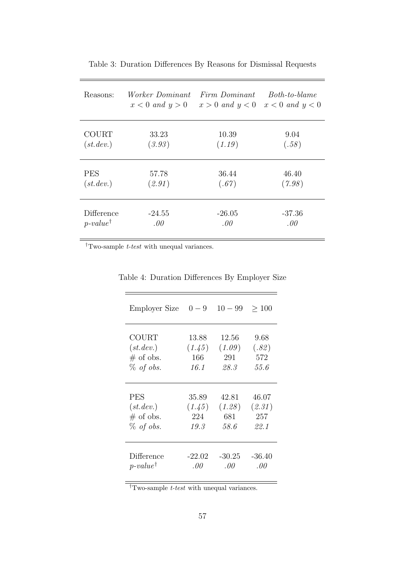| Reasons:            | <i>Worker Dominant</i> | Firm Dominant       | Both-to-blame       |
|---------------------|------------------------|---------------------|---------------------|
|                     | $x < 0$ and $y > 0$    | $x > 0$ and $y < 0$ | $x < 0$ and $y < 0$ |
| <b>COURT</b>        | 33.23                  | 10.39               | 9.04                |
| (st. dev.)          | (3.93)                 | (1.19)              | (.58)               |
| <b>PES</b>          | 57.78                  | 36.44               | 46.40               |
| (st. dev.)          | (2.91)                 | (.67)               | (7.98)              |
| Difference          | $-24.55$               | $-26.05$            | $-37.36$            |
| $p-value^{\dagger}$ | .00.                   | .00                 | .00.                |

Table 3: Duration Differences By Reasons for Dismissal Requests

 $\dagger$  Two-sample  $t\text{-}test$  with unequal variances.

| Employer Size       | $0-9$    | $10 - 99$ | >100     |
|---------------------|----------|-----------|----------|
| COURT               | 13.88    | 12.56     | 9.68     |
| (st. dev.)          | (1.45)   | (1.09)    | (.82)    |
| $#$ of obs.         | 166      | 291       | 572      |
| $\%$ of obs.        | 16.1     | 28.3      | 55.6     |
| <b>PES</b>          | 35.89    | 42.81     | 46.07    |
| (st. dev.)          | (1.45)   | (1.28)    | (2.31)   |
| $\#$ of obs.        | 224      | 681       | 257      |
| $\%$ of obs.        | 19.3     | 58.6      | 22.1     |
| Difference          | $-22.02$ | -30.25    | $-36.40$ |
| $p-value^{\dagger}$ | .00      | $.00\,$   | $.00\,$  |

Table 4: Duration Differences By Employer Size

 $\dagger$ Two-sample *t-test* with unequal variances.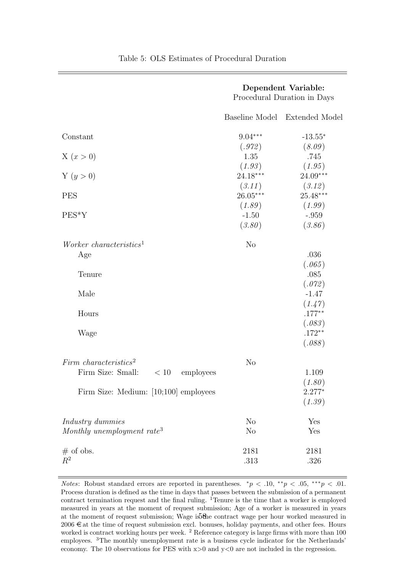|                                        |                | Dependent Variable:<br>Procedural Duration in Days |
|----------------------------------------|----------------|----------------------------------------------------|
|                                        | Baseline Model | <b>Extended Model</b>                              |
| Constant                               | $9.04***$      | $-13.55*$                                          |
|                                        | (.972)         | (8.09)                                             |
| X(x>0)                                 | 1.35           | .745                                               |
|                                        | (1.93)         | (1.95)                                             |
| Y $(y > 0)$                            | $24.18***$     | 24.09***                                           |
|                                        | (3.11)         | (3.12)                                             |
| <b>PES</b>                             | 26.05***       | $25.48***$                                         |
|                                        | (1.89)         | (1.99)                                             |
| $PES*Y$                                | $-1.50$        | $-.959$                                            |
|                                        | (3.80)         | (3.86)                                             |
| Worker characteristics <sup>1</sup>    | N <sub>o</sub> |                                                    |
| Age                                    |                | .036                                               |
|                                        |                | (.065)                                             |
| Tenure                                 |                | .085                                               |
|                                        |                | (.072)                                             |
| Male                                   |                | $-1.47$                                            |
|                                        |                | (1.47)                                             |
| Hours                                  |                | $.177***$                                          |
|                                        |                | (.083)                                             |
| Wage                                   |                | $.172**$                                           |
|                                        |                | (.088)                                             |
| Firm characteristics <sup>2</sup>      | N <sub>o</sub> |                                                    |
| Firm Size: Small:<br>< 10<br>employees |                | 1.109                                              |
|                                        |                | (1.80)                                             |
| Firm Size: Medium: [10;100] employees  |                | $2.277*$                                           |
|                                        |                | (1.39)                                             |
| Industry dummies                       | N <sub>o</sub> | Yes                                                |
| Monthly unemployment rate <sup>3</sup> | N <sub>o</sub> | Yes                                                |
| $#$ of obs.                            | 2181           | 2181                                               |
| $R^2$                                  | .313           | .326                                               |
|                                        |                |                                                    |

Table 5: OLS Estimates of Procedural Duration

*Notes:* Robust standard errors are reported in parentheses.  $\pi p < 0.10$ ,  $\pi p < 0.05$ ,  $\pi p < 0.01$ . Process duration is defined as the time in days that passes between the submission of a permanent contract termination request and the final ruling.  ${}^{1}$ Tenure is the time that a worker is employed measured in years at the moment of request submission; Age of a worker is measured in years at the moment of request submission; Wage is the contract wage per hour worked measured in  $2006 \in \text{at the time of request submission excl. bonuses, holiday payments, and other fees. Hours}$ worked is contract working hours per week. <sup>2</sup> Reference category is large firms with more than 100 employees. <sup>3</sup>The monthly unemployment rate is a business cycle indicator for the Netherlands' economy. The 10 observations for PES with  $x>0$  and  $y<0$  are not included in the regression.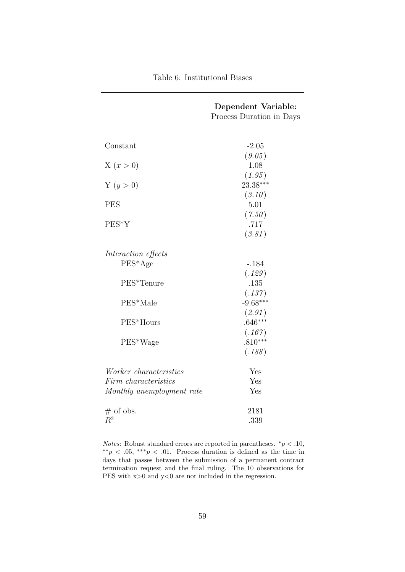|                           | Dependent Variable:      |
|---------------------------|--------------------------|
|                           | Process Duration in Days |
|                           |                          |
|                           |                          |
| Constant                  | $-2.05$                  |
|                           | (9.05)                   |
| X(x > 0)                  | 1.08                     |
|                           | (1.95)                   |
| Y(y > 0)                  | 23.38***                 |
|                           | (3.10)                   |
| <b>PES</b>                | 5.01                     |
|                           | (7.50)                   |
| PES*Y                     | .717                     |
|                           | (3.81)                   |
|                           |                          |
| Interaction effects       |                          |
| $PES^*Age$                | $-.184$                  |
|                           | (.129)                   |
| PES*Tenure                | .135                     |
|                           | (.137)<br>$-9.68***$     |
| PES*Male                  |                          |
|                           | (2.91)<br>$.646***$      |
| PES*Hours                 |                          |
|                           | (.167)<br>$.810***$      |
| PES*Wage                  |                          |
|                           | (.188)                   |
| Worker characteristics    | Yes                      |
| Firm characteristics      | Yes                      |
| Monthly unemployment rate | Yes                      |
|                           |                          |
| $#$ of obs.               | 2181                     |
| $R^2$                     | .339                     |
|                           |                          |

*Notes*: Robust standard errors are reported in parentheses.  $\sqrt[e]{p}$   $\leq$  10,  $**p < .05, **p < .01$ . Process duration is defined as the time in days that passes between the submission of a permanent contract termination request and the final ruling. The 10 observations for PES with  $x>0$  and  $y<0$  are not included in the regression.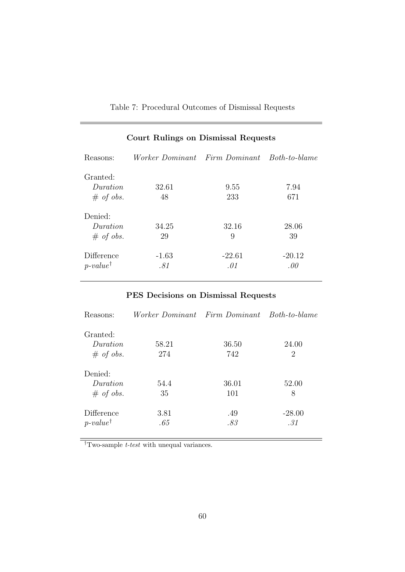|  |  | Table 7: Procedural Outcomes of Dismissal Requests |  |  |  |  |
|--|--|----------------------------------------------------|--|--|--|--|
|--|--|----------------------------------------------------|--|--|--|--|

|                                      | Court Itunings on Disimssal Ituquests       |                 |                 |
|--------------------------------------|---------------------------------------------|-----------------|-----------------|
| Reasons:                             | Worker Dominant Firm Dominant Both-to-blame |                 |                 |
| Granted:<br>Duration<br>$\#$ of obs. | 32.61<br>48                                 | 9.55<br>233     | 7.94<br>671     |
| Denied:<br>Duration<br>$\#$ of obs.  | 34.25<br>29                                 | 32.16<br>9      | 28.06<br>39     |
| Difference<br>$p-value^{\dagger}$    | $-1.63$<br>.81                              | $-22.61$<br>.01 | $-20.12$<br>.00 |

## Court Rulings on Dismissal Requests

## PES Decisions on Dismissal Requests

| Reasons:            | Worker Dominant Firm Dominant Both-to-blame |       |          |
|---------------------|---------------------------------------------|-------|----------|
| Granted:            |                                             |       |          |
| Duration            | 58.21                                       | 36.50 | 24.00    |
| $\#$ of obs.        | 274                                         | 742   | 2        |
| Denied:             |                                             |       |          |
| Duration            | 54.4                                        | 36.01 | 52.00    |
| $\#$ of obs.        | 35                                          | 101   | 8        |
| Difference          | 3.81                                        | .49   | $-28.00$ |
| $p-value^{\dagger}$ | .65                                         | .83   | .31      |

 $\overline{\phantom{a}^{\dagger}$  Two-sample  $t\text{-}test$  with unequal variances.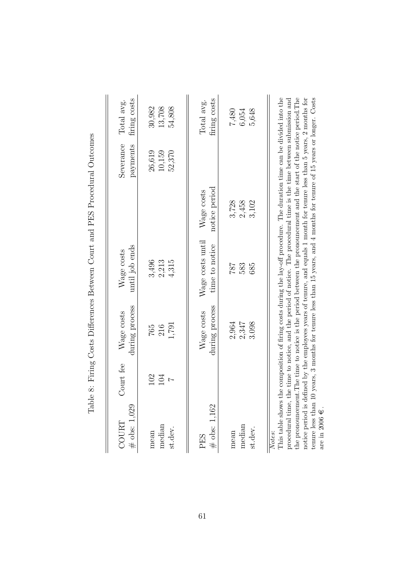|                                                                    |                              |                              | lable 8: Firmg Costs Differences Between Court and FES Froeedural Outcomes                                                                                                                                                                                                                                                                                                                                                                                                                                                                                                       |                             |                            |                            |
|--------------------------------------------------------------------|------------------------------|------------------------------|----------------------------------------------------------------------------------------------------------------------------------------------------------------------------------------------------------------------------------------------------------------------------------------------------------------------------------------------------------------------------------------------------------------------------------------------------------------------------------------------------------------------------------------------------------------------------------|-----------------------------|----------------------------|----------------------------|
| $#$ obs: 1,029<br><b>COURT</b>                                     | Court fee                    | during process<br>Wage costs | until job ends<br>Wage costs                                                                                                                                                                                                                                                                                                                                                                                                                                                                                                                                                     |                             | Severance<br>payments      | firing costs<br>Total avg. |
| median<br>st.dev.<br>mean                                          | 102<br>104<br>$\overline{a}$ | 1,791<br>216<br>$765$        | 3,496<br>2,213<br>4,315                                                                                                                                                                                                                                                                                                                                                                                                                                                                                                                                                          |                             | 26,619<br>10,159<br>52,370 | 30,982<br>13,708<br>54,808 |
| $\#$ obs: 1,162<br>PES                                             |                              | during process<br>Wage costs | Wage costs until<br>time to notice                                                                                                                                                                                                                                                                                                                                                                                                                                                                                                                                               | notice period<br>Wage costs |                            | firing costs<br>Total avg. |
| median<br>st.dev.<br>mean                                          |                              | 2,964<br>2,347<br>3.098      | 787<br>583<br>685                                                                                                                                                                                                                                                                                                                                                                                                                                                                                                                                                                | 3,728<br>2,458<br>3,102     |                            | 7,480<br>5,648<br>6,054    |
| This table shows<br>procedural time,<br>tenure less than<br>Notes: |                              |                              | the composition of firing costs during the lay-off procedure. The duration time can be divided into the<br>the pronouncement. The time to notice is the period between the pronouncement and the start of the notice period. The<br>notice period is defined by the employees years of tenure, and equals 1 month for tenure less than 5 years, 2 months for<br>$10$ years, 3 months for tenure less than 15 years, and 4 months for tenure of 15 years or longer. Costs<br>the time to notice, and the period of notice. The procedural time is the time between submission and |                             |                            |                            |

are in 2006

 $\dot{\Psi}$  .

Table 8: Firing Costs Differences Between Court and PES Procedural Outcomes  $\ddot{ }$  $\frac{1}{1}$ ł.  $1 \text{D} \mathbb{R}$   $\mathbb{D}$  $\overline{a}$  $\vec{\zeta}$ Ŕ  $\mathbf{r}$  $D:\mathcal{L}$ J.  $\vec{\zeta}$  $\ddot{\phantom{a}}$ È  $\circ$  $T_{c}$  1.1.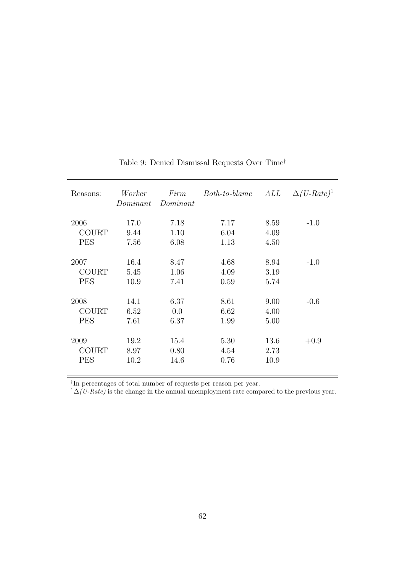| Reasons:     | Worker<br>Dominant | Firm<br>Dominant | Both-to-blame | ALL  | $\Delta(U\text{-}Rate)^1$ |
|--------------|--------------------|------------------|---------------|------|---------------------------|
| 2006         | 17.0               | 7.18             | 7.17          | 8.59 | $-1.0$                    |
| <b>COURT</b> | 9.44               | 1.10             | 6.04          | 4.09 |                           |
| <b>PES</b>   | 7.56               | 6.08             | 1.13          | 4.50 |                           |
| 2007         | 16.4               | 8.47             | 4.68          | 8.94 | $-1.0$                    |
| <b>COURT</b> | 5.45               | 1.06             | 4.09          | 3.19 |                           |
| <b>PES</b>   | 10.9               | 7.41             | 0.59          | 5.74 |                           |
| 2008         | 14.1               | 6.37             | 8.61          | 9.00 | $-0.6$                    |
| <b>COURT</b> | 6.52               | 0.0              | 6.62          | 4.00 |                           |
| <b>PES</b>   | 7.61               | 6.37             | 1.99          | 5.00 |                           |
| 2009         | 19.2               | 15.4             | 5.30          | 13.6 | $+0.9$                    |
| <b>COURT</b> | 8.97               | 0.80             | 4.54          | 2.73 |                           |
| <b>PES</b>   | 10.2               | 14.6             | 0.76          | 10.9 |                           |

## Table 9: Denied Dismissal Requests Over $\mathrm{Time}^{\dagger}$

† In percentages of total number of requests per reason per year.

 $1\Delta(U-Rate)$  is the change in the annual unemployment rate compared to the previous year.